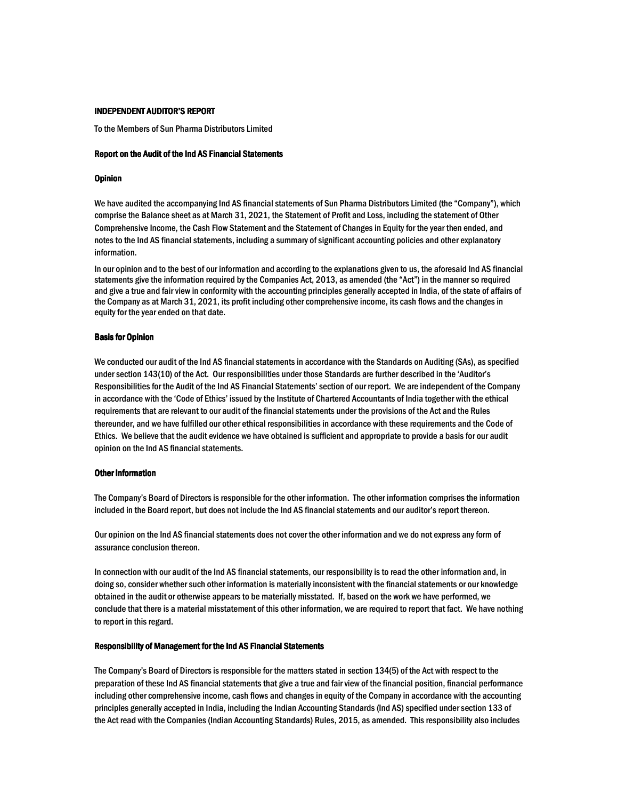### INDEPENDENT AUDITOR'S REPORT

To the Members of Sun Pharma Distributors Limited

#### Report on the Audit of the Ind AS Financial Statements

### **Opinion**

We have audited the accompanying Ind AS financial statements of Sun Pharma Distributors Limited (the "Company"), which comprise the Balance sheet as at March 31, 2021, the Statement of Profit and Loss, including the statement of Other Comprehensive Income, the Cash Flow Statement and the Statement of Changes in Equity for the year then ended, and notes to the Ind AS financial statements, including a summary of significant accounting policies and other explanatory information.

In our opinion and to the best of our information and according to the explanations given to us, the aforesaid Ind AS financial statements give the information required by the Companies Act, 2013, as amended (the "Act") in the manner so required and give a true and fair view in conformity with the accounting principles generally accepted in India, of the state of affairs of the Company as at March 31, 2021, its profit including other comprehensive income, its cash flows and the changes in equity for the year ended on that date.

### **Basis for Opinion**

We conducted our audit of the Ind AS financial statements in accordance with the Standards on Auditing (SAs), as specified under section 143(10) of the Act. Our responsibilities under those Standards are further described in the 'Auditor's Responsibilities for the Audit of the Ind AS Financial Statements'section of our report. We are independent of the Company in accordance with the 'Code of Ethics' issued by the Institute of Chartered Accountants of India together with the ethical requirements that are relevant to our audit of the financial statements under the provisions of the Act and the Rules thereunder, and we have fulfilled our other ethical responsibilities in accordance with these requirements and the Code of Ethics. We believe that the audit evidence we have obtained is sufficient and appropriate to provide a basis for our audit opinion on the Ind AS financial statements.

### **Other Information**

The Company's Board of Directors is responsible for the other information. The other information comprises the information included in the Board report, but does not include the Ind AS financial statements and our auditor's report thereon.

Our opinion on the Ind AS financial statements does not cover the other information and we do not express any form of assurance conclusion thereon.

In connection with our audit of the Ind AS financial statements, our responsibility is to read the other information and, in doing so, consider whether such other information is materially inconsistent with the financial statements or our knowledge obtained in the audit or otherwise appears to be materially misstated. If, based on the work we have performed, we conclude that there is a material misstatement of this other information, we are required to report that fact. We have nothing to report in this regard.

### Responsibility of Management for the Ind AS Financial Statements

The Company's Board of Directors is responsible for the matters stated in section 134(5) of the Act with respect to the preparation of these Ind AS financial statements that give a true and fair view of the financial position, financial performance including other comprehensive income, cash flows and changes in equity of the Company in accordance with the accounting principles generally accepted in India, including the Indian Accounting Standards (Ind AS) specified under section 133 of the Act read with the Companies (Indian Accounting Standards) Rules, 2015, as amended. This responsibility also includes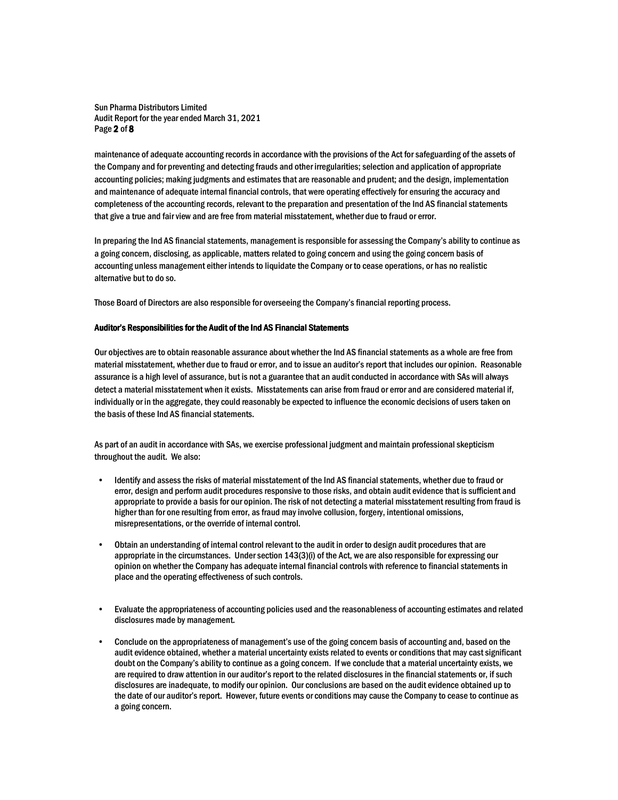Sun Pharma Distributors Limited Audit Report for the year ended March 31, 2021 Page 2 of 8

maintenance of adequate accounting records in accordance with the provisions of the Act for safeguarding of the assets of the Company and for preventing and detecting frauds and other irregularities; selection and application of appropriate accounting policies; making judgments and estimates that are reasonable and prudent; and the design, implementation and maintenance of adequate internal financial controls, that were operating effectively for ensuring the accuracy and completeness of the accounting records, relevant to the preparation and presentation of the Ind AS financial statements that give a true and fair view and are free from material misstatement, whether due to fraud or error.

In preparing the Ind AS financial statements, management is responsible for assessing the Company's ability to continue as a going concern, disclosing, as applicable, matters related to going concern and using the going concern basis of accounting unless management either intends to liquidate the Company or to cease operations, or has no realistic alternative but to do so.

Those Board of Directors are also responsible for overseeing the Company's financial reporting process.

### Auditor's Responsibilities for the Audit of the Ind AS Financial Statements

Our objectives are to obtain reasonable assurance about whether the Ind AS financial statements as a whole are free from material misstatement, whether due to fraud or error, and to issue an auditor's report that includes our opinion. Reasonable assurance is a high level of assurance, but is not a guarantee that an audit conducted in accordance with SAs will always detect a material misstatement when it exists. Misstatements can arise from fraud or error and are considered material if, individually or in the aggregate, they could reasonably be expected to influence the economic decisions of users taken on the basis of these Ind AS financial statements.

As part of an audit in accordance with SAs, we exercise professional judgment and maintain professional skepticism throughout the audit. We also:

- Identify and assess the risks of material misstatement of the Ind AS financial statements, whether due to fraud or error, design and perform audit procedures responsive to those risks, and obtain audit evidence that is sufficient and appropriate to provide a basis for our opinion. The risk of not detecting a material misstatement resulting from fraud is higher than for one resulting from error, as fraud may involve collusion, forgery, intentional omissions, misrepresentations, or the override of internal control.
- Obtain an understanding of internal control relevant to the audit in order to design audit procedures that are appropriate in the circumstances. Under section 143(3)(i) of the Act, we are also responsible for expressing our opinion on whether the Company has adequate internal financial controls with reference to financial statements in place and the operating effectiveness of such controls.
- Evaluate the appropriateness of accounting policies used and the reasonableness of accounting estimates and related disclosures made by management.
- Conclude on the appropriateness of management's use of the going concern basis of accounting and, based on the audit evidence obtained, whether a material uncertainty exists related to events or conditions that may cast significant doubt on the Company's ability to continue as a going concern. If we conclude that a material uncertainty exists, we are required to draw attention in our auditor's report to the related disclosures in the financial statements or, if such disclosures are inadequate, to modify our opinion. Our conclusions are based on the audit evidence obtained up to the date of our auditor's report. However, future events or conditions may cause the Company to cease to continue as a going concern.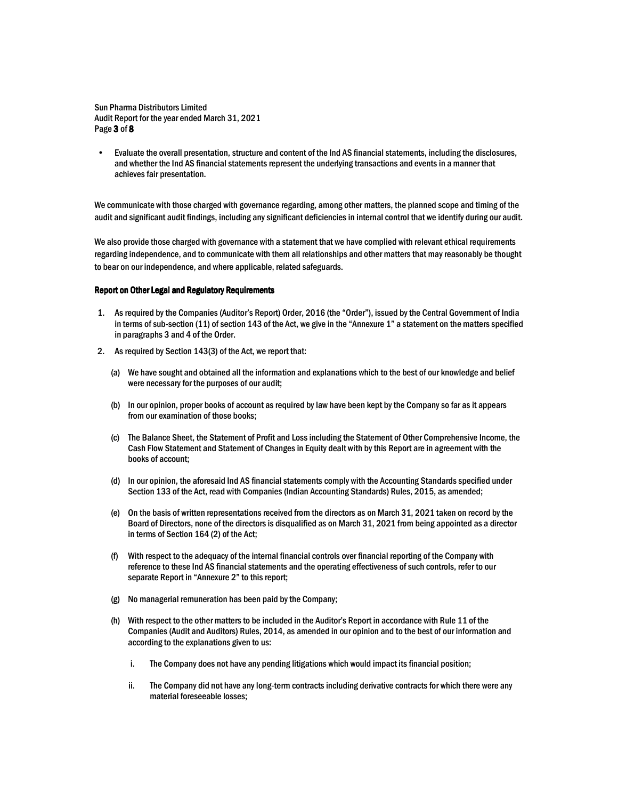Sun Pharma Distributors Limited Audit Report for the year ended March 31, 2021 Page 3 of 8

• Evaluate the overall presentation, structure and content of the Ind AS financial statements, including the disclosures, and whether the Ind AS financial statements represent the underlying transactions and events in a manner that achieves fair presentation.

We communicate with those charged with governance regarding, among other matters, the planned scope and timing of the audit and significant audit findings, including any significant deficiencies in internal control that we identify during our audit.

We also provide those charged with governance with a statement that we have complied with relevant ethical requirements regarding independence, and to communicate with them all relationships and other matters that may reasonably be thought to bear on our independence, and where applicable, related safeguards.

### **Report on Other Legal and Regulatory Requirements**

- 1. As required by the Companies (Auditor's Report) Order, 2016 (the "Order"), issued by the Central Government of India in terms of sub-section (11) of section 143 of the Act, we give in the "Annexure 1" a statement on the matters specified in paragraphs 3 and 4 of the Order.
- 2. As required by Section 143(3) of the Act, we report that:
	- (a) We have sought and obtained all the information and explanations which to the best of our knowledge and belief were necessary for the purposes of our audit;
	- (b) In our opinion, proper books of account as required by law have been kept by the Company so far as it appears from our examination of those books;
	- (c) The Balance Sheet, the Statement of Profit and Loss including the Statement of Other Comprehensive Income, the Cash Flow Statement and Statement of Changes in Equity dealt with by this Report are in agreement with the books of account;
	- (d) In our opinion, the aforesaid Ind AS financial statements comply with the Accounting Standards specified under Section 133 of the Act, read with Companies (Indian Accounting Standards) Rules, 2015, as amended;
	- (e) On the basis of written representations received from the directors as on March 31, 2021 taken on record by the Board of Directors, none of the directors is disqualified as on March 31, 2021 from being appointed as a director in terms of Section 164 (2) of the Act;
	- (f) With respect to the adequacy of the internal financial controls over financial reporting of the Company with reference to these Ind AS financial statements and the operating effectiveness of such controls, refer to our separate Report in "Annexure 2" to this report;
	- (g) No managerial remuneration has been paid by the Company;
	- (h) With respect to the other matters to be included in the Auditor's Report in accordance with Rule 11 of the Companies (Audit and Auditors) Rules, 2014, as amended in our opinion and to the best of our information and according to the explanations given to us:
		- i. The Company does not have any pending litigations which would impact its financial position;
		- ii. The Company did not have any long-term contracts including derivative contracts for which there were any material foreseeable losses;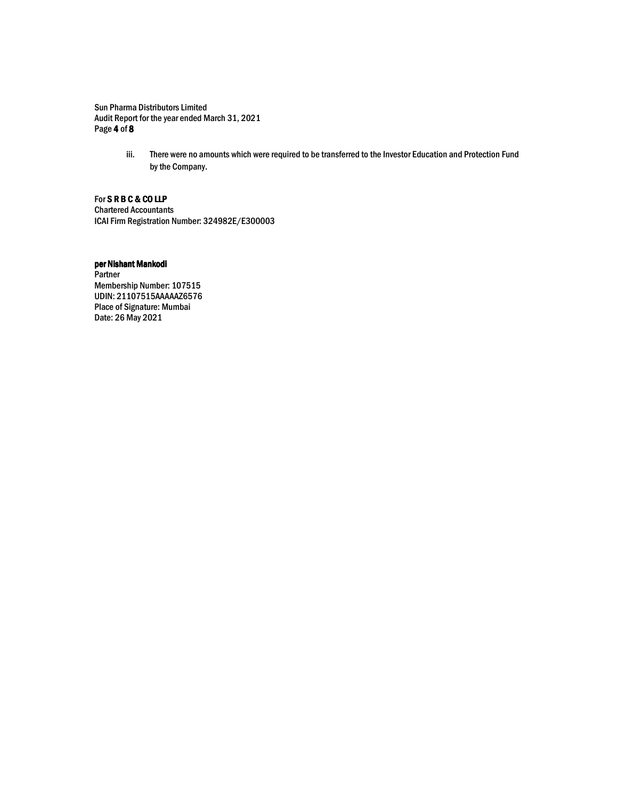Sun Pharma Distributors Limited Audit Report for the year ended March 31, 2021 Page 4 of 8

> iii. There were no amounts which were required to be transferred to the Investor Education and Protection Fund by the Company.

# For SRBC & COLLP

Chartered Accountants ICAI Firm Registration Number: 324982E/E300003

### per Nishant Mankodi

Partner Membership Number: 107515 UDIN: 21107515AAAAAZ6576 Place of Signature: Mumbai Date: 26 May 2021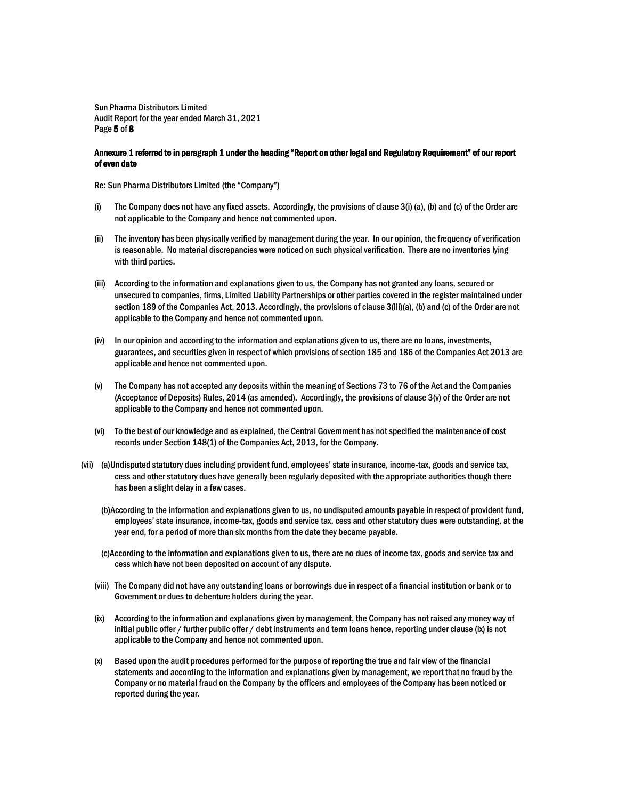Sun Pharma Distributors Limited Audit Report for the year ended March 31, 2021 Page 5 of 8

### Annexure 1 referred to in paragraph 1 under the heading "Report on other legal and Regulatory Requirement" of our report of even date

Re: Sun Pharma Distributors Limited (the "Company")

- (i) The Company does not have any fixed assets. Accordingly, the provisions of clause 3(i) (a), (b) and (c) of the Order are not applicable to the Company and hence not commented upon.
- (ii) The inventory has been physically verified by management during the year. In our opinion, the frequency of verification is reasonable. No material discrepancies were noticed on such physical verification. There are no inventories lying with third parties.
- (iii) According to the information and explanations given to us, the Company has not granted any loans, secured or unsecured to companies, firms, Limited Liability Partnerships or other parties covered in the register maintained under section 189 of the Companies Act, 2013. Accordingly, the provisions of clause 3(iii)(a), (b) and (c) of the Order are not applicable to the Company and hence not commented upon.
- (iv) In our opinion and according to the information and explanations given to us, there are no loans, investments, guarantees, and securities given in respect of which provisions of section 185 and 186 of the Companies Act 2013 are applicable and hence not commented upon.
- (v) The Company has not accepted any deposits within the meaning of Sections 73 to 76 of the Act and the Companies (Acceptance of Deposits) Rules, 2014 (as amended). Accordingly, the provisions of clause 3(v) of the Order are not applicable to the Company and hence not commented upon.
- (vi) To the best of our knowledge and as explained, the Central Government has not specified the maintenance of cost records under Section 148(1) of the Companies Act, 2013, for the Company.
- (vii) (a)Undisputed statutory dues including provident fund, employees' state insurance, income-tax, goods and service tax, cess and other statutory dues have generally been regularly deposited with the appropriate authorities though there has been a slight delay in a few cases.
	- (b)According to the information and explanations given to us, no undisputed amounts payable in respect of provident fund, employees' state insurance, income-tax, goods and service tax, cess and other statutory dues were outstanding, at the year end, for a period of more than six months from the date they became payable.
	- (c)According to the information and explanations given to us, there are no dues of income tax, goods and service tax and cess which have not been deposited on account of any dispute.
	- (viii) The Company did not have any outstanding loans or borrowings due in respect of a financial institution or bank or to Government or dues to debenture holders during the year.
	- (ix) According to the information and explanations given by management, the Company has not raised any money way of initial public offer / further public offer / debt instruments and term loans hence, reporting under clause (ix) is not applicable to the Company and hence not commented upon.
	- (x) Based upon the audit procedures performed for the purpose of reporting the true and fair view of the financial statements and according to the information and explanations given by management, we report that no fraud by the Company or no material fraud on the Company by the officers and employees of the Company has been noticed or reported during the year.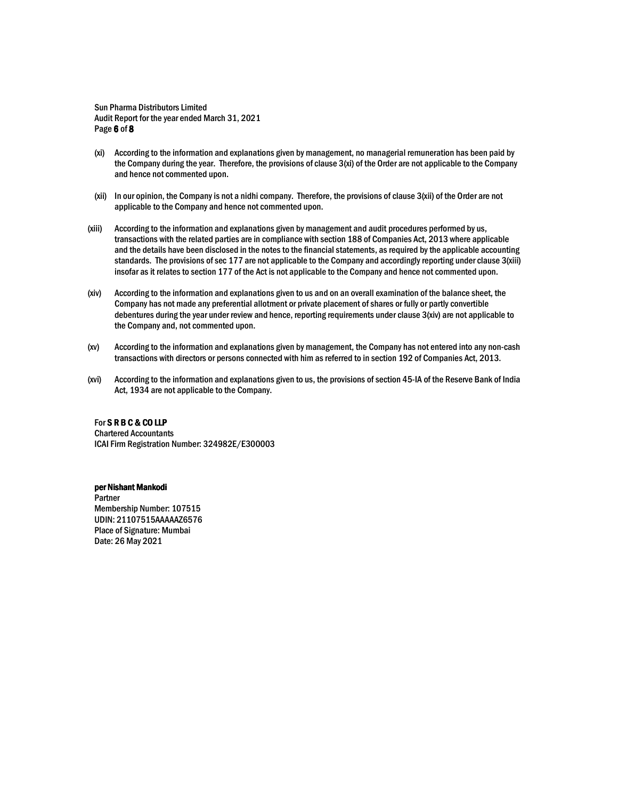Sun Pharma Distributors Limited Audit Report for the year ended March 31, 2021 Page 6 of 8

- (xi) According to the information and explanations given by management, no managerial remuneration has been paid by the Company during the year. Therefore, the provisions of clause 3(xi) of the Order are not applicable to the Company and hence not commented upon.
- (xii) In our opinion, the Company is not a nidhi company. Therefore, the provisions of clause 3(xii) of the Order are not applicable to the Company and hence not commented upon.
- (xiii) According to the information and explanations given by management and audit procedures performed by us, transactions with the related parties are in compliance with section 188 of Companies Act, 2013 where applicable and the details have been disclosed in the notes to the financial statements, as required by the applicable accounting standards. The provisions of sec 177 are not applicable to the Company and accordingly reporting under clause 3(xiii) insofar as it relates to section 177 of the Act is not applicable to the Company and hence not commented upon.
- (xiv) According to the information and explanations given to us and on an overall examination of the balance sheet, the Company has not made any preferential allotment or private placement of shares or fully or partly convertible debentures during the year under review and hence, reporting requirements under clause 3(xiv) are not applicable to the Company and, not commented upon.
- (xv) According to the information and explanations given by management, the Company has not entered into any non-cash transactions with directors or persons connected with him as referred to in section 192 of Companies Act, 2013.
- (xvi) According to the information and explanations given to us, the provisions of section 45-IA of the Reserve Bank of India Act, 1934 are not applicable to the Company.

## For SRBC & COLLP

Chartered Accountants ICAI Firm Registration Number: 324982E/E300003

### per Nishant Mankodi

Partner Membership Number: 107515 UDIN: 21107515AAAAAZ6576 Place of Signature: Mumbai Date: 26 May 2021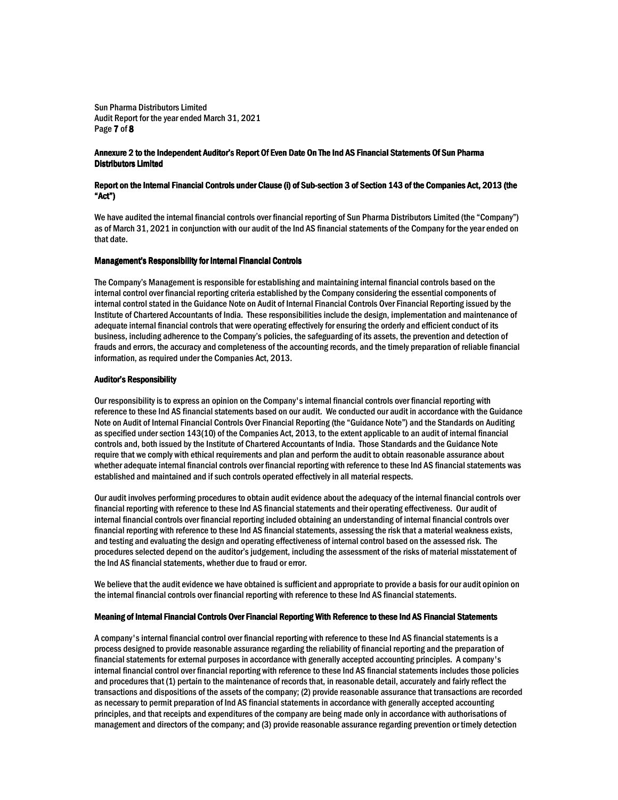Sun Pharma Distributors Limited Audit Report for the year ended March 31, 2021 Page 7 of 8

### Annexure 2 to the Independent Auditor's Report Of Even Date On The Ind AS Financial Statements Of Sun Pharma **Distributors Limited**

### Report on the Internal Financial Controls under Clause (i) of Sub-section 3 of Section 143 of the Companies Act, 2013 (the "Act")

We have audited the internal financial controls over financial reporting of Sun Pharma Distributors Limited (the "Company") as of March 31, 2021 in conjunction with our audit of the Ind AS financial statements of the Company for the year ended on that date.

### Management's Responsibility for Internal Financial Controls

The Company's Management is responsible for establishing and maintaining internal financial controls based on the internal control over financial reporting criteria established by the Company considering the essential components of internal control stated in the Guidance Note on Audit of Internal Financial Controls Over Financial Reporting issued by the Institute of Chartered Accountants of India. These responsibilities include the design, implementation and maintenance of adequate internal financial controls that were operating effectively for ensuring the orderly and efficient conduct of its business, including adherence to the Company's policies, the safeguarding of its assets, the prevention and detection of frauds and errors, the accuracy and completeness of the accounting records, and the timely preparation of reliable financial information, as required under the Companies Act, 2013.

### **Auditor's Responsibility**

Our responsibility is to express an opinion on the Company's internal financial controls over financial reporting with reference to these Ind AS financial statements based on our audit. We conducted our audit in accordance with the Guidance Note on Audit of Internal Financial Controls Over Financial Reporting (the "Guidance Note") and the Standards on Auditing as specified under section 143(10) of the Companies Act, 2013, to the extent applicable to an audit of internal financial controls and, both issued by the Institute of Chartered Accountants of India. Those Standards and the Guidance Note require that we comply with ethical requirements and plan and perform the audit to obtain reasonable assurance about whether adequate internal financial controls over financial reporting with reference to these Ind AS financial statements was established and maintained and if such controls operated effectively in all material respects.

Our audit involves performing procedures to obtain audit evidence about the adequacy of the internal financial controls over financial reporting with reference to these Ind AS financial statements and their operating effectiveness. Our audit of internal financial controls over financial reporting included obtaining an understanding of internal financial controls over financial reporting with reference to these Ind AS financial statements, assessing the risk that a material weakness exists, and testing and evaluating the design and operating effectiveness of internal control based on the assessed risk. The procedures selected depend on the auditor's judgement, including the assessment of the risks of material misstatement of the Ind AS financial statements, whether due to fraud or error.

We believe that the audit evidence we have obtained is sufficient and appropriate to provide a basis for our audit opinion on the internal financial controls over financial reporting with reference to these Ind AS financial statements.

### Meaning of Internal Financial Controls Over Financial Reporting With Reference to these Ind AS Financial Statements

A company's internal financial control over financial reporting with reference to these Ind AS financial statements is a process designed to provide reasonable assurance regarding the reliability of financial reporting and the preparation of financial statements for external purposes in accordance with generally accepted accounting principles. A company's internal financial control over financial reporting with reference to these Ind AS financial statements includes those policies and procedures that (1) pertain to the maintenance of records that, in reasonable detail, accurately and fairly reflect the transactions and dispositions of the assets of the company; (2) provide reasonable assurance that transactions are recorded as necessary to permit preparation of Ind AS financial statements in accordance with generally accepted accounting principles, and that receipts and expenditures of the company are being made only in accordance with authorisations of management and directors of the company; and (3) provide reasonable assurance regarding prevention or timely detection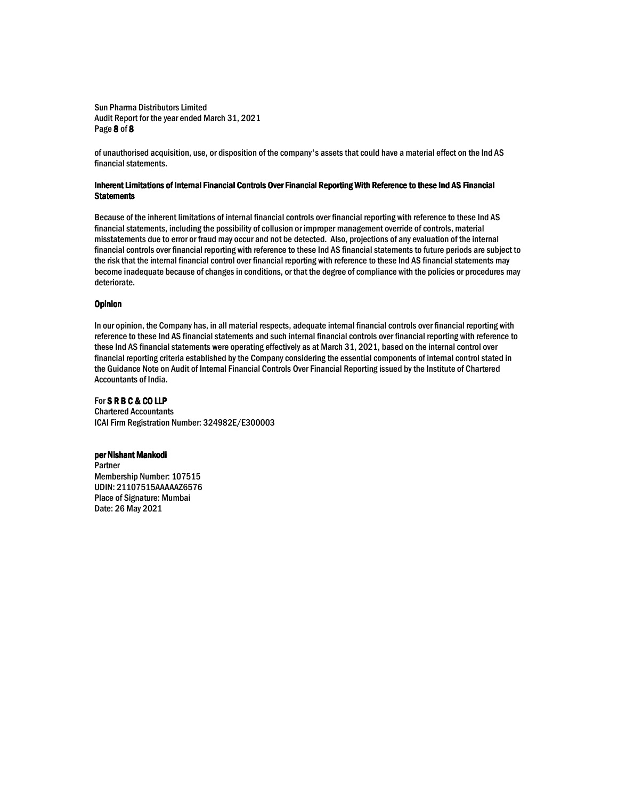Sun Pharma Distributors Limited Audit Report for the year ended March 31, 2021 Page 8 of 8

of unauthorised acquisition, use, or disposition of the company's assets that could have a material effect on the Ind AS financial statements.

### Inherent Limitations of Internal Financial Controls Over Financial Reporting With Reference to these Ind AS Financial **Statements**

Because of the inherent limitations of internal financial controls over financial reporting with reference to these Ind AS financial statements, including the possibility of collusion or improper management override of controls, material misstatements due to error or fraud may occur and not be detected. Also, projections of any evaluation of the internal financial controls over financial reporting with reference to these Ind AS financial statements to future periods are subject to the risk that the internal financial control over financial reporting with reference to these Ind AS financial statements may become inadequate because of changes in conditions, or that the degree of compliance with the policies or procedures may deteriorate.

### **Opinion**

In our opinion, the Company has, in all material respects, adequate internal financial controls over financial reporting with reference to these Ind AS financial statements and such internal financial controls over financial reporting with reference to these Ind AS financial statements were operating effectively as at March 31, 2021, based on the internal control over financial reporting criteria established by the Company considering the essential components of internal control stated in the Guidance Note on Audit of Internal Financial Controls Over Financial Reporting issued by the Institute of Chartered Accountants of India.

### For SRBC & COLLP

Chartered Accountants ICAI Firm Registration Number: 324982E/E300003

### per Nishant Mankodi

Partner Membership Number: 107515 UDIN: 21107515AAAAAZ6576 Place of Signature: Mumbai Date: 26 May 2021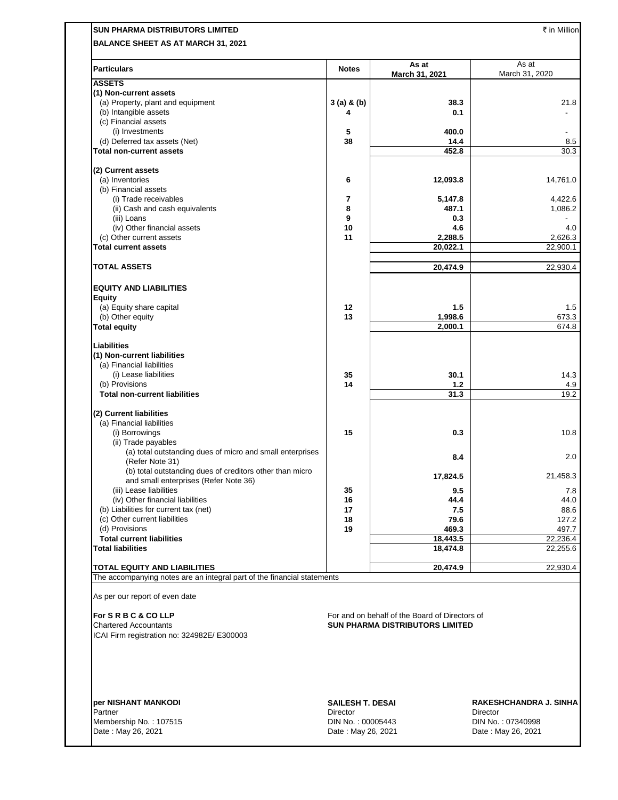| <b>Particulars</b>                                                           | <b>Notes</b>            | As at<br>March 31, 2021                        | As at<br>March 31, 2020       |
|------------------------------------------------------------------------------|-------------------------|------------------------------------------------|-------------------------------|
| <b>ASSETS</b>                                                                |                         |                                                |                               |
| (1) Non-current assets                                                       |                         |                                                |                               |
| (a) Property, plant and equipment                                            | 3(a) 8(b)               | 38.3                                           | 21.8                          |
| (b) Intangible assets                                                        | 4                       | 0.1                                            |                               |
| (c) Financial assets                                                         |                         |                                                |                               |
| (i) Investments<br>(d) Deferred tax assets (Net)                             | 5<br>38                 | 400.0<br>14.4                                  |                               |
| <b>Total non-current assets</b>                                              |                         | 452.8                                          | 8.5<br>30.3                   |
| (2) Current assets                                                           |                         |                                                |                               |
| (a) Inventories                                                              | 6                       | 12,093.8                                       | 14,761.0                      |
| (b) Financial assets                                                         |                         |                                                |                               |
| (i) Trade receivables                                                        | 7                       | 5,147.8                                        | 4,422.6                       |
| (ii) Cash and cash equivalents                                               | 8                       | 487.1                                          | 1,086.2                       |
| (iii) Loans                                                                  | 9                       | 0.3                                            |                               |
| (iv) Other financial assets                                                  | 10                      | 4.6                                            | 4.0                           |
| (c) Other current assets                                                     | 11                      | 2,288.5                                        | 2,626.3                       |
| <b>Total current assets</b>                                                  |                         | 20,022.1                                       | 22,900.1                      |
| <b>TOTAL ASSETS</b>                                                          |                         | 20,474.9                                       | 22,930.4                      |
| <b>EQUITY AND LIABILITIES</b>                                                |                         |                                                |                               |
| Equity                                                                       |                         |                                                |                               |
| (a) Equity share capital                                                     | 12                      | 1.5                                            | 1.5                           |
| (b) Other equity                                                             | 13                      | 1,998.6                                        | 673.3                         |
| <b>Total equity</b>                                                          |                         | 2,000.1                                        | 674.8                         |
| Liabilities                                                                  |                         |                                                |                               |
| (1) Non-current liabilities                                                  |                         |                                                |                               |
| (a) Financial liabilities                                                    |                         |                                                |                               |
| (i) Lease liabilities                                                        | 35                      | 30.1                                           | 14.3                          |
| (b) Provisions                                                               | 14                      | $1.2$                                          | 4.9                           |
| <b>Total non-current liabilities</b>                                         |                         | 31.3                                           | 19.2                          |
| (2) Current liabilities                                                      |                         |                                                |                               |
| (a) Financial liabilities                                                    |                         |                                                |                               |
| (i) Borrowings                                                               | 15                      | 0.3                                            | 10.8                          |
| (ii) Trade payables                                                          |                         |                                                |                               |
| (a) total outstanding dues of micro and small enterprises<br>(Refer Note 31) |                         | 8.4                                            | 2.0                           |
| (b) total outstanding dues of creditors other than micro                     |                         |                                                |                               |
| and small enterprises (Refer Note 36)                                        |                         | 17,824.5                                       | 21,458.3                      |
| (iii) Lease liabilities                                                      | 35                      | 9.5                                            | 7.8                           |
| (iv) Other financial liabilities                                             | 16                      | 44.4                                           | 44.0                          |
| (b) Liabilities for current tax (net)                                        | 17                      | 7.5                                            | 88.6                          |
| (c) Other current liabilities                                                | 18                      | 79.6                                           | 127.2                         |
| (d) Provisions                                                               | 19                      | 469.3                                          | 497.7                         |
| <b>Total current liabilities</b>                                             |                         | 18,443.5                                       | 22,236.4                      |
| <b>Total liabilities</b>                                                     |                         | 18,474.8                                       | 22,255.6                      |
| TOTAL EQUITY AND LIABILITIES                                                 |                         | 20,474.9                                       | 22,930.4                      |
| The accompanying notes are an integral part of the financial statements      |                         |                                                |                               |
| As per our report of even date                                               |                         |                                                |                               |
| For SRBC&COLLP                                                               |                         | For and on behalf of the Board of Directors of |                               |
| <b>Chartered Accountants</b>                                                 |                         | <b>SUN PHARMA DISTRIBUTORS LIMITED</b>         |                               |
| ICAI Firm registration no: 324982E/ E300003                                  |                         |                                                |                               |
|                                                                              |                         |                                                |                               |
| <b>per NISHANT MANKODI</b>                                                   | <b>SAILESH T. DESAI</b> |                                                | <b>RAKESHCHANDRA J. SINHA</b> |
|                                                                              |                         |                                                | Director                      |
| Partner                                                                      | <b>Director</b>         |                                                |                               |
| Membership No.: 107515                                                       | DIN No.: 00005443       |                                                | DIN No.: 07340998             |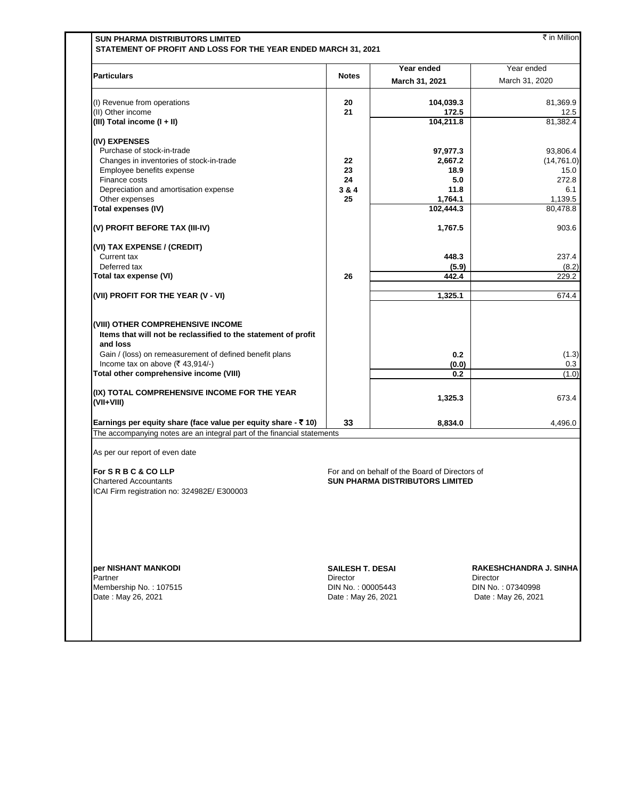|                                                                                                                                                                                                                                                                                                                                                                                         |                                                                                | Year ended                                                                               | Year ended                                                                                  |
|-----------------------------------------------------------------------------------------------------------------------------------------------------------------------------------------------------------------------------------------------------------------------------------------------------------------------------------------------------------------------------------------|--------------------------------------------------------------------------------|------------------------------------------------------------------------------------------|---------------------------------------------------------------------------------------------|
| <b>Particulars</b>                                                                                                                                                                                                                                                                                                                                                                      | <b>Notes</b>                                                                   | March 31, 2021                                                                           | March 31, 2020                                                                              |
| (I) Revenue from operations                                                                                                                                                                                                                                                                                                                                                             | 20                                                                             | 104,039.3                                                                                | 81,369.9                                                                                    |
| (II) Other income                                                                                                                                                                                                                                                                                                                                                                       | 21                                                                             | 172.5                                                                                    | 12.5                                                                                        |
| (III) Total income $(I + II)$                                                                                                                                                                                                                                                                                                                                                           |                                                                                | 104,211.8                                                                                | 81,382.4                                                                                    |
| (IV) EXPENSES                                                                                                                                                                                                                                                                                                                                                                           |                                                                                |                                                                                          |                                                                                             |
| Purchase of stock-in-trade                                                                                                                                                                                                                                                                                                                                                              |                                                                                | 97,977.3                                                                                 | 93,806.4                                                                                    |
| Changes in inventories of stock-in-trade                                                                                                                                                                                                                                                                                                                                                | 22                                                                             | 2,667.2                                                                                  | (14, 761.0)                                                                                 |
| Employee benefits expense                                                                                                                                                                                                                                                                                                                                                               | 23                                                                             | 18.9                                                                                     | 15.0                                                                                        |
| Finance costs                                                                                                                                                                                                                                                                                                                                                                           | 24                                                                             | 5.0                                                                                      | 272.8                                                                                       |
| Depreciation and amortisation expense<br>Other expenses                                                                                                                                                                                                                                                                                                                                 | 3 & 4<br>25                                                                    | 11.8<br>1,764.1                                                                          | 6.1<br>1,139.5                                                                              |
| Total expenses (IV)                                                                                                                                                                                                                                                                                                                                                                     |                                                                                | 102,444.3                                                                                | $80,478.\overline{8}$                                                                       |
| (V) PROFIT BEFORE TAX (III-IV)                                                                                                                                                                                                                                                                                                                                                          |                                                                                | 1,767.5                                                                                  | 903.6                                                                                       |
| (VI) TAX EXPENSE / (CREDIT)                                                                                                                                                                                                                                                                                                                                                             |                                                                                |                                                                                          |                                                                                             |
| Current tax                                                                                                                                                                                                                                                                                                                                                                             |                                                                                | 448.3                                                                                    | 237.4                                                                                       |
| Deferred tax                                                                                                                                                                                                                                                                                                                                                                            |                                                                                | (5.9)                                                                                    | (8.2)                                                                                       |
| Total tax expense (VI)                                                                                                                                                                                                                                                                                                                                                                  | 26                                                                             | 442.4                                                                                    | 229.2                                                                                       |
| (VII) PROFIT FOR THE YEAR (V - VI)                                                                                                                                                                                                                                                                                                                                                      |                                                                                | 1,325.1                                                                                  | 674.4                                                                                       |
| and loss<br>Gain / (loss) on remeasurement of defined benefit plans<br>Income tax on above $(\overline{\mathfrak{c}} 43,914/-)$<br>Total other comprehensive income (VIII)<br>(IX) TOTAL COMPREHENSIVE INCOME FOR THE YEAR<br>(VII+VIII)<br>Earnings per equity share (face value per equity share $-$ ₹ 10)<br>The accompanying notes are an integral part of the financial statements | 33                                                                             | 0.2<br>(0.0)<br>0.2<br>1,325.3<br>8,834.0                                                | (1.3)<br>0.3<br>(1.0)<br>673.4<br>4,496.0                                                   |
| As per our report of even date                                                                                                                                                                                                                                                                                                                                                          |                                                                                |                                                                                          |                                                                                             |
| For S R B C & CO LLP<br><b>Chartered Accountants</b><br>ICAI Firm registration no: 324982E/ E300003                                                                                                                                                                                                                                                                                     |                                                                                | For and on behalf of the Board of Directors of<br><b>SUN PHARMA DISTRIBUTORS LIMITED</b> |                                                                                             |
| per NISHANT MANKODI<br>Partner<br>Membership No.: 107515<br>Date: May 26, 2021                                                                                                                                                                                                                                                                                                          | SAILESH T. DESAI<br><b>Director</b><br>DIN No.: 00005443<br>Date: May 26, 2021 |                                                                                          | <b>RAKESHCHANDRA J. SINHA</b><br><b>Director</b><br>DIN No.: 07340998<br>Date: May 26, 2021 |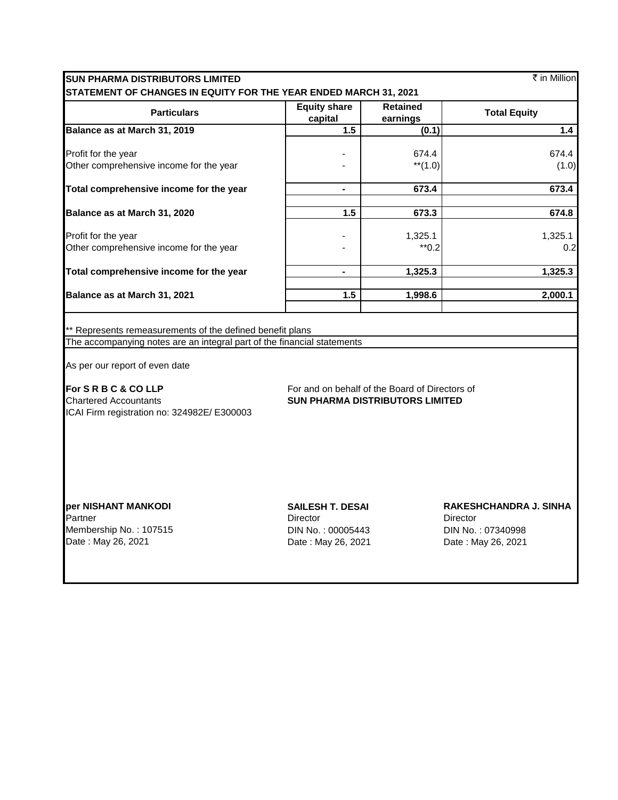| <b>SUN PHARMA DISTRIBUTORS LIMITED</b>                                                                                                                                                                                                                               |                                                                                          |                             | ₹ in Million                                                                  |
|----------------------------------------------------------------------------------------------------------------------------------------------------------------------------------------------------------------------------------------------------------------------|------------------------------------------------------------------------------------------|-----------------------------|-------------------------------------------------------------------------------|
| STATEMENT OF CHANGES IN EQUITY FOR THE YEAR ENDED MARCH 31, 2021<br><b>Particulars</b>                                                                                                                                                                               | <b>Equity share</b><br>capital                                                           | <b>Retained</b><br>earnings | <b>Total Equity</b>                                                           |
| Balance as at March 31, 2019                                                                                                                                                                                                                                         | 1.5                                                                                      | (0.1)                       | 1.4                                                                           |
| Profit for the year<br>Other comprehensive income for the year                                                                                                                                                                                                       |                                                                                          | 674.4<br>$**$ (1.0)         | 674.4<br>(1.0)                                                                |
| Total comprehensive income for the year                                                                                                                                                                                                                              | ٠                                                                                        | 673.4                       | 673.4                                                                         |
| Balance as at March 31, 2020                                                                                                                                                                                                                                         | 1.5                                                                                      | 673.3                       | 674.8                                                                         |
| Profit for the year<br>Other comprehensive income for the year                                                                                                                                                                                                       |                                                                                          | 1,325.1<br>$*$ 0.2          | 1,325.1<br>0.2                                                                |
| Total comprehensive income for the year                                                                                                                                                                                                                              | $\blacksquare$                                                                           | 1,325.3                     | 1,325.3                                                                       |
| Balance as at March 31, 2021                                                                                                                                                                                                                                         | 1.5                                                                                      | 1,998.6                     | 2,000.1                                                                       |
| Represents remeasurements of the defined benefit plans<br>The accompanying notes are an integral part of the financial statements<br>As per our report of even date<br>For SRBC&COLLP<br><b>Chartered Accountants</b><br>ICAI Firm registration no: 324982E/ E300003 | For and on behalf of the Board of Directors of<br><b>SUN PHARMA DISTRIBUTORS LIMITED</b> |                             |                                                                               |
| per NISHANT MANKODI<br>Partner<br>Membership No.: 107515<br>Date: May 26, 2021                                                                                                                                                                                       | <b>SAILESH T. DESAI</b><br>Director<br>DIN No.: 00005443<br>Date: May 26, 2021           |                             | RAKESHCHANDRA J. SINHA<br>Director<br>DIN No.: 07340998<br>Date: May 26, 2021 |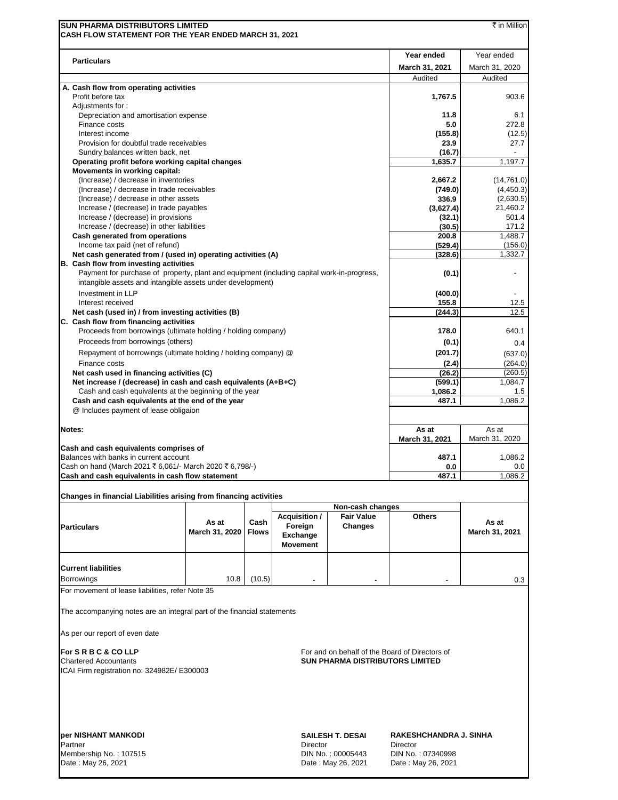| <b>SUN PHARMA DISTRIBUTORS LIMITED</b><br>CASH FLOW STATEMENT FOR THE YEAR ENDED MARCH 31, 2021                                                          |                |              |                             |                                        |                                                | ₹ in Million       |
|----------------------------------------------------------------------------------------------------------------------------------------------------------|----------------|--------------|-----------------------------|----------------------------------------|------------------------------------------------|--------------------|
|                                                                                                                                                          |                |              |                             |                                        |                                                |                    |
| <b>Particulars</b>                                                                                                                                       |                |              |                             |                                        | Year ended                                     | Year ended         |
|                                                                                                                                                          |                |              |                             |                                        | March 31, 2021                                 | March 31, 2020     |
|                                                                                                                                                          |                |              |                             |                                        | Audited                                        | Audited            |
| A. Cash flow from operating activities<br>Profit before tax                                                                                              |                |              |                             |                                        | 1,767.5                                        | 903.6              |
| Adjustments for:                                                                                                                                         |                |              |                             |                                        |                                                |                    |
| Depreciation and amortisation expense                                                                                                                    |                |              |                             |                                        | 11.8                                           | 6.1                |
| Finance costs                                                                                                                                            |                |              |                             |                                        | 5.0                                            | 272.8              |
| Interest income                                                                                                                                          |                |              |                             |                                        | (155.8)                                        | (12.5)             |
| Provision for doubtful trade receivables                                                                                                                 |                |              |                             |                                        | 23.9                                           | 27.7               |
| Sundry balances written back, net                                                                                                                        |                |              |                             |                                        | (16.7)                                         |                    |
| Operating profit before working capital changes                                                                                                          |                |              |                             |                                        | 1,635.7                                        | 1.197.7            |
| Movements in working capital:<br>(Increase) / decrease in inventories                                                                                    |                |              |                             |                                        | 2,667.2                                        | (14, 761.0)        |
| (Increase) / decrease in trade receivables                                                                                                               |                |              |                             |                                        | (749.0)                                        | (4,450.3)          |
| (Increase) / decrease in other assets                                                                                                                    |                |              |                             |                                        | 336.9                                          | (2,630.5)          |
| Increase / (decrease) in trade payables                                                                                                                  |                |              |                             |                                        | (3,627.4)                                      | 21,460.2           |
| Increase / (decrease) in provisions                                                                                                                      |                |              |                             |                                        | (32.1)                                         | 501.4              |
| Increase / (decrease) in other liabilities                                                                                                               |                |              |                             |                                        | (30.5)                                         | 171.2              |
| Cash generated from operations                                                                                                                           |                |              |                             |                                        | 200.8                                          | 1,488.7            |
| Income tax paid (net of refund)<br>Net cash generated from / (used in) operating activities (A)                                                          |                |              |                             |                                        | (529.4)<br>(328.6)                             | (156.0)<br>1,332.7 |
| B. Cash flow from investing activities                                                                                                                   |                |              |                             |                                        |                                                |                    |
| Payment for purchase of property, plant and equipment (including capital work-in-progress,<br>intangible assets and intangible assets under development) |                |              |                             |                                        | (0.1)                                          |                    |
| Investment in LLP                                                                                                                                        |                |              |                             |                                        | (400.0)                                        |                    |
| Interest received                                                                                                                                        |                |              |                             |                                        | 155.8                                          | 12.5               |
| Net cash (used in) / from investing activities (B)                                                                                                       |                |              |                             |                                        | (244.3)                                        | 12.5               |
| C. Cash flow from financing activities                                                                                                                   |                |              |                             |                                        |                                                |                    |
| Proceeds from borrowings (ultimate holding / holding company)                                                                                            |                |              |                             |                                        | 178.0                                          | 640.1              |
| Proceeds from borrowings (others)                                                                                                                        |                |              |                             |                                        | (0.1)                                          | 0.4                |
| Repayment of borrowings (ultimate holding / holding company) @                                                                                           |                |              |                             |                                        | (201.7)                                        | (637.0)            |
| Finance costs                                                                                                                                            |                |              |                             |                                        | (2.4)                                          | (264.0)            |
| Net cash used in financing activities (C)                                                                                                                |                |              |                             |                                        | (26.2)                                         | (260.5)            |
| Net increase / (decrease) in cash and cash equivalents (A+B+C)                                                                                           |                |              |                             |                                        | (599.1)                                        | 1,084.7            |
| Cash and cash equivalents at the beginning of the year                                                                                                   |                |              |                             |                                        | 1,086.2                                        | 1.5                |
| Cash and cash equivalents at the end of the year                                                                                                         |                |              |                             |                                        | 487.1                                          | 1,086.2            |
| @ Includes payment of lease obligaion                                                                                                                    |                |              |                             |                                        |                                                |                    |
| Notes:                                                                                                                                                   |                |              |                             |                                        | As at                                          | As at              |
|                                                                                                                                                          |                |              |                             |                                        | March 31, 2021                                 | March 31, 2020     |
| Cash and cash equivalents comprises of                                                                                                                   |                |              |                             |                                        |                                                |                    |
| Balances with banks in current account                                                                                                                   |                |              |                             |                                        | 487.1                                          | 1,086.2            |
| Cash on hand (March 2021 ₹ 6.061/- March 2020 ₹ 6.798/-)                                                                                                 |                |              |                             |                                        | 0.0                                            | 0.0                |
| Cash and cash equivalents in cash flow statement                                                                                                         |                |              |                             |                                        | 487.1                                          | 1,086.2            |
|                                                                                                                                                          |                |              |                             |                                        |                                                |                    |
| Changes in financial Liabilities arising from financing activities                                                                                       |                |              |                             |                                        |                                                |                    |
|                                                                                                                                                          |                |              |                             | Non-cash changes                       |                                                |                    |
|                                                                                                                                                          | As at          | Cash         | Acquisition /               | <b>Fair Value</b>                      | <b>Others</b>                                  | As at              |
| <b>Particulars</b>                                                                                                                                       | March 31, 2020 | <b>Flows</b> | Foreign                     | Changes                                |                                                | March 31, 2021     |
|                                                                                                                                                          |                |              | Exchange<br><b>Movement</b> |                                        |                                                |                    |
|                                                                                                                                                          |                |              |                             |                                        |                                                |                    |
|                                                                                                                                                          |                |              |                             |                                        |                                                |                    |
| <b>Current liabilities</b>                                                                                                                               |                |              |                             |                                        |                                                |                    |
| <b>Borrowings</b>                                                                                                                                        | 10.8           | (10.5)       |                             |                                        |                                                | 0.3                |
| For movement of lease liabilities, refer Note 35                                                                                                         |                |              |                             |                                        |                                                |                    |
| The accompanying notes are an integral part of the financial statements                                                                                  |                |              |                             |                                        |                                                |                    |
| As per our report of even date                                                                                                                           |                |              |                             |                                        |                                                |                    |
|                                                                                                                                                          |                |              |                             |                                        |                                                |                    |
| For SRBC&COLLP<br><b>Chartered Accountants</b>                                                                                                           |                |              |                             | <b>SUN PHARMA DISTRIBUTORS LIMITED</b> | For and on behalf of the Board of Directors of |                    |
| ICAI Firm registration no: 324982E/ E300003                                                                                                              |                |              |                             |                                        |                                                |                    |
|                                                                                                                                                          |                |              |                             |                                        |                                                |                    |
| per NISHANT MANKODI                                                                                                                                      |                |              |                             | SAILESH T. DESAI                       | RAKESHCHANDRA J. SINHA                         |                    |
| Partner                                                                                                                                                  |                |              | Director                    |                                        | Director                                       |                    |
| Membership No.: 107515                                                                                                                                   |                |              |                             | DIN No.: 00005443                      | DIN No.: 07340998                              |                    |
|                                                                                                                                                          |                |              |                             | Date: May 26, 2021                     | Date: May 26, 2021                             |                    |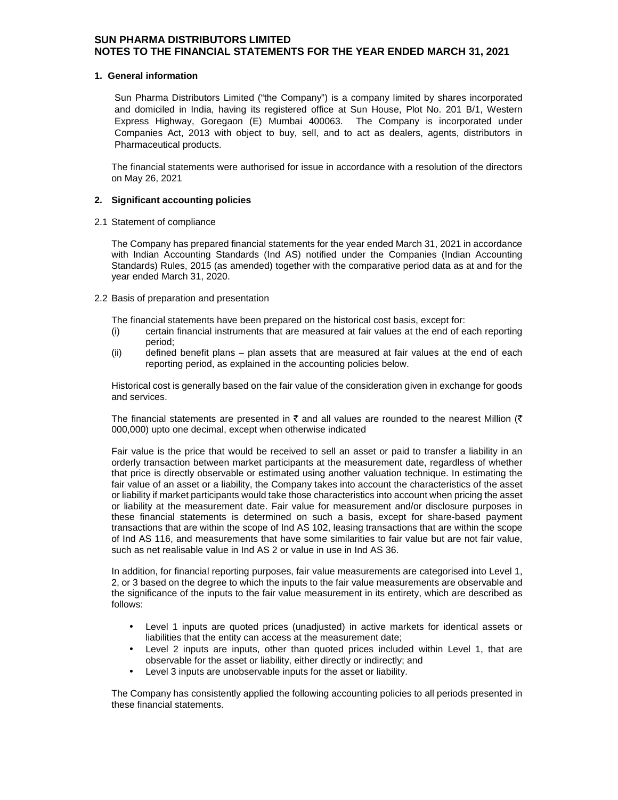## **1. General information**

Sun Pharma Distributors Limited ("the Company") is a company limited by shares incorporated and domiciled in India, having its registered office at Sun House, Plot No. 201 B/1, Western Express Highway, Goregaon (E) Mumbai 400063. The Company is incorporated under Companies Act, 2013 with object to buy, sell, and to act as dealers, agents, distributors in Pharmaceutical products.

The financial statements were authorised for issue in accordance with a resolution of the directors on May 26, 2021

## **2. Significant accounting policies**

2.1 Statement of compliance

The Company has prepared financial statements for the year ended March 31, 2021 in accordance with Indian Accounting Standards (Ind AS) notified under the Companies (Indian Accounting Standards) Rules, 2015 (as amended) together with the comparative period data as at and for the year ended March 31, 2020.

2.2 Basis of preparation and presentation

The financial statements have been prepared on the historical cost basis, except for:

- (i) certain financial instruments that are measured at fair values at the end of each reporting period;
- (ii) defined benefit plans plan assets that are measured at fair values at the end of each reporting period, as explained in the accounting policies below.

Historical cost is generally based on the fair value of the consideration given in exchange for goods and services.

The financial statements are presented in  $\bar{\tau}$  and all values are rounded to the nearest Million ( $\bar{\tau}$ 000,000) upto one decimal, except when otherwise indicated

Fair value is the price that would be received to sell an asset or paid to transfer a liability in an orderly transaction between market participants at the measurement date, regardless of whether that price is directly observable or estimated using another valuation technique. In estimating the fair value of an asset or a liability, the Company takes into account the characteristics of the asset or liability if market participants would take those characteristics into account when pricing the asset or liability at the measurement date. Fair value for measurement and/or disclosure purposes in these financial statements is determined on such a basis, except for share-based payment transactions that are within the scope of Ind AS 102, leasing transactions that are within the scope of Ind AS 116, and measurements that have some similarities to fair value but are not fair value, such as net realisable value in Ind AS 2 or value in use in Ind AS 36.

In addition, for financial reporting purposes, fair value measurements are categorised into Level 1, 2, or 3 based on the degree to which the inputs to the fair value measurements are observable and the significance of the inputs to the fair value measurement in its entirety, which are described as follows:

- Level 1 inputs are quoted prices (unadjusted) in active markets for identical assets or liabilities that the entity can access at the measurement date;
- Level 2 inputs are inputs, other than quoted prices included within Level 1, that are observable for the asset or liability, either directly or indirectly; and
- Level 3 inputs are unobservable inputs for the asset or liability.

The Company has consistently applied the following accounting policies to all periods presented in these financial statements.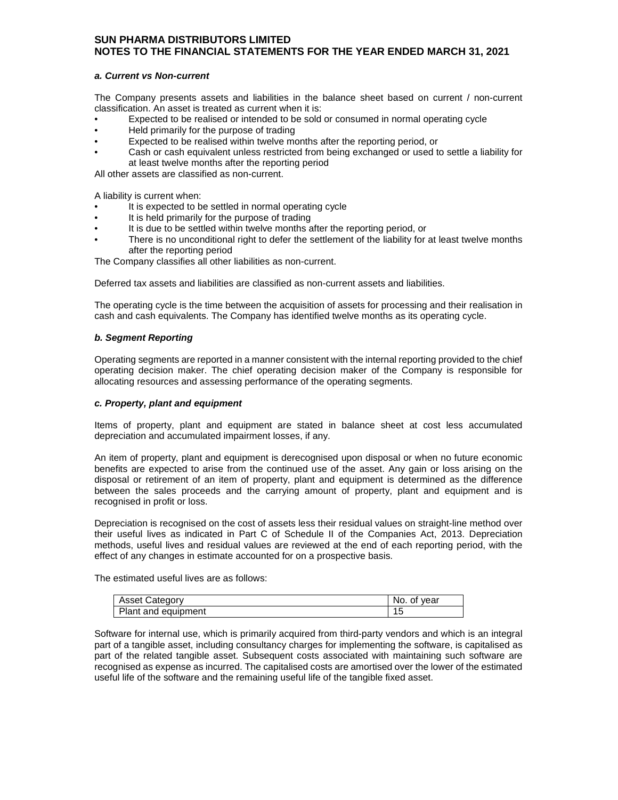## **a. Current vs Non-current**

The Company presents assets and liabilities in the balance sheet based on current / non-current classification. An asset is treated as current when it is:

- Expected to be realised or intended to be sold or consumed in normal operating cycle
- Held primarily for the purpose of trading
- Expected to be realised within twelve months after the reporting period, or
- Cash or cash equivalent unless restricted from being exchanged or used to settle a liability for at least twelve months after the reporting period

All other assets are classified as non-current.

A liability is current when:

- It is expected to be settled in normal operating cycle
- It is held primarily for the purpose of trading
- It is due to be settled within twelve months after the reporting period, or
- There is no unconditional right to defer the settlement of the liability for at least twelve months after the reporting period

The Company classifies all other liabilities as non-current.

Deferred tax assets and liabilities are classified as non-current assets and liabilities.

The operating cycle is the time between the acquisition of assets for processing and their realisation in cash and cash equivalents. The Company has identified twelve months as its operating cycle.

## **b. Segment Reporting**

Operating segments are reported in a manner consistent with the internal reporting provided to the chief operating decision maker. The chief operating decision maker of the Company is responsible for allocating resources and assessing performance of the operating segments.

## **c. Property, plant and equipment**

Items of property, plant and equipment are stated in balance sheet at cost less accumulated depreciation and accumulated impairment losses, if any.

An item of property, plant and equipment is derecognised upon disposal or when no future economic benefits are expected to arise from the continued use of the asset. Any gain or loss arising on the disposal or retirement of an item of property, plant and equipment is determined as the difference between the sales proceeds and the carrying amount of property, plant and equipment and is recognised in profit or loss.

Depreciation is recognised on the cost of assets less their residual values on straight-line method over their useful lives as indicated in Part C of Schedule II of the Companies Act, 2013. Depreciation methods, useful lives and residual values are reviewed at the end of each reporting period, with the effect of any changes in estimate accounted for on a prospective basis.

The estimated useful lives are as follows:

| <b>Asset Category</b> | of vear<br>No. |
|-----------------------|----------------|
| Plant and equipment   | ن.             |

Software for internal use, which is primarily acquired from third-party vendors and which is an integral part of a tangible asset, including consultancy charges for implementing the software, is capitalised as part of the related tangible asset. Subsequent costs associated with maintaining such software are recognised as expense as incurred. The capitalised costs are amortised over the lower of the estimated useful life of the software and the remaining useful life of the tangible fixed asset.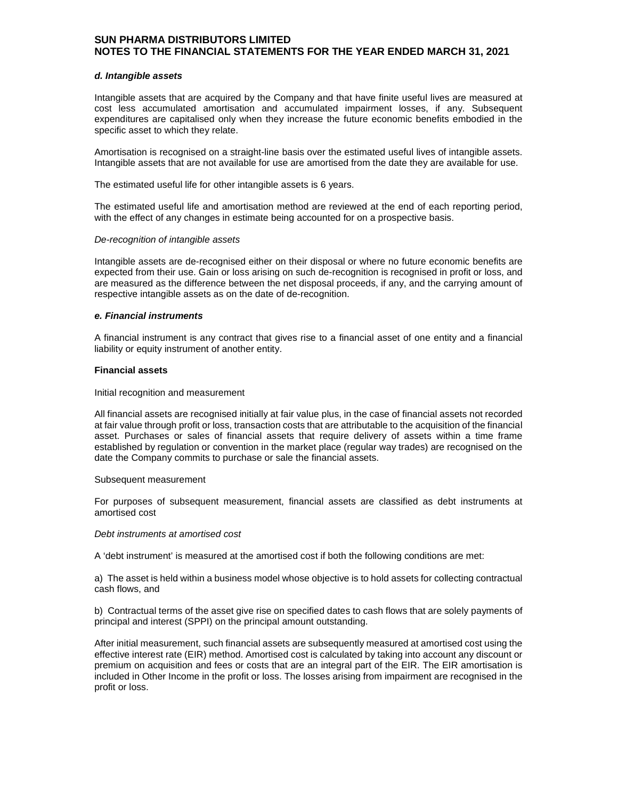### **d. Intangible assets**

Intangible assets that are acquired by the Company and that have finite useful lives are measured at cost less accumulated amortisation and accumulated impairment losses, if any. Subsequent expenditures are capitalised only when they increase the future economic benefits embodied in the specific asset to which they relate.

Amortisation is recognised on a straight-line basis over the estimated useful lives of intangible assets. Intangible assets that are not available for use are amortised from the date they are available for use.

The estimated useful life for other intangible assets is 6 years.

The estimated useful life and amortisation method are reviewed at the end of each reporting period, with the effect of any changes in estimate being accounted for on a prospective basis.

### De-recognition of intangible assets

Intangible assets are de-recognised either on their disposal or where no future economic benefits are expected from their use. Gain or loss arising on such de-recognition is recognised in profit or loss, and are measured as the difference between the net disposal proceeds, if any, and the carrying amount of respective intangible assets as on the date of de-recognition.

### **e. Financial instruments**

A financial instrument is any contract that gives rise to a financial asset of one entity and a financial liability or equity instrument of another entity.

### **Financial assets**

Initial recognition and measurement

All financial assets are recognised initially at fair value plus, in the case of financial assets not recorded at fair value through profit or loss, transaction costs that are attributable to the acquisition of the financial asset. Purchases or sales of financial assets that require delivery of assets within a time frame established by regulation or convention in the market place (regular way trades) are recognised on the date the Company commits to purchase or sale the financial assets.

### Subsequent measurement

For purposes of subsequent measurement, financial assets are classified as debt instruments at amortised cost

### Debt instruments at amortised cost

A 'debt instrument' is measured at the amortised cost if both the following conditions are met:

a) The asset is held within a business model whose objective is to hold assets for collecting contractual cash flows, and

b) Contractual terms of the asset give rise on specified dates to cash flows that are solely payments of principal and interest (SPPI) on the principal amount outstanding.

After initial measurement, such financial assets are subsequently measured at amortised cost using the effective interest rate (EIR) method. Amortised cost is calculated by taking into account any discount or premium on acquisition and fees or costs that are an integral part of the EIR. The EIR amortisation is included in Other Income in the profit or loss. The losses arising from impairment are recognised in the profit or loss.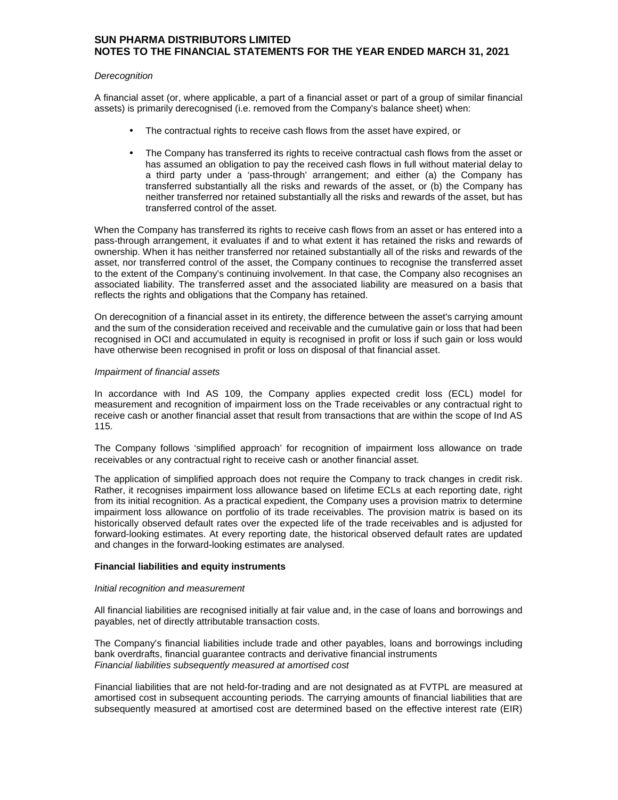### **Derecognition**

A financial asset (or, where applicable, a part of a financial asset or part of a group of similar financial assets) is primarily derecognised (i.e. removed from the Company's balance sheet) when:

- The contractual rights to receive cash flows from the asset have expired, or
- The Company has transferred its rights to receive contractual cash flows from the asset or has assumed an obligation to pay the received cash flows in full without material delay to a third party under a 'pass-through' arrangement; and either (a) the Company has transferred substantially all the risks and rewards of the asset, or (b) the Company has neither transferred nor retained substantially all the risks and rewards of the asset, but has transferred control of the asset.

When the Company has transferred its rights to receive cash flows from an asset or has entered into a pass-through arrangement, it evaluates if and to what extent it has retained the risks and rewards of ownership. When it has neither transferred nor retained substantially all of the risks and rewards of the asset, nor transferred control of the asset, the Company continues to recognise the transferred asset to the extent of the Company's continuing involvement. In that case, the Company also recognises an associated liability. The transferred asset and the associated liability are measured on a basis that reflects the rights and obligations that the Company has retained.

On derecognition of a financial asset in its entirety, the difference between the asset's carrying amount and the sum of the consideration received and receivable and the cumulative gain or loss that had been recognised in OCI and accumulated in equity is recognised in profit or loss if such gain or loss would have otherwise been recognised in profit or loss on disposal of that financial asset.

### Impairment of financial assets

In accordance with Ind AS 109, the Company applies expected credit loss (ECL) model for measurement and recognition of impairment loss on the Trade receivables or any contractual right to receive cash or another financial asset that result from transactions that are within the scope of Ind AS 115.

The Company follows 'simplified approach' for recognition of impairment loss allowance on trade receivables or any contractual right to receive cash or another financial asset.

The application of simplified approach does not require the Company to track changes in credit risk. Rather, it recognises impairment loss allowance based on lifetime ECLs at each reporting date, right from its initial recognition. As a practical expedient, the Company uses a provision matrix to determine impairment loss allowance on portfolio of its trade receivables. The provision matrix is based on its historically observed default rates over the expected life of the trade receivables and is adjusted for forward-looking estimates. At every reporting date, the historical observed default rates are updated and changes in the forward-looking estimates are analysed.

# **Financial liabilities and equity instruments**

### Initial recognition and measurement

All financial liabilities are recognised initially at fair value and, in the case of loans and borrowings and payables, net of directly attributable transaction costs.

The Company's financial liabilities include trade and other payables, loans and borrowings including bank overdrafts, financial guarantee contracts and derivative financial instruments Financial liabilities subsequently measured at amortised cost

Financial liabilities that are not held-for-trading and are not designated as at FVTPL are measured at amortised cost in subsequent accounting periods. The carrying amounts of financial liabilities that are subsequently measured at amortised cost are determined based on the effective interest rate (EIR)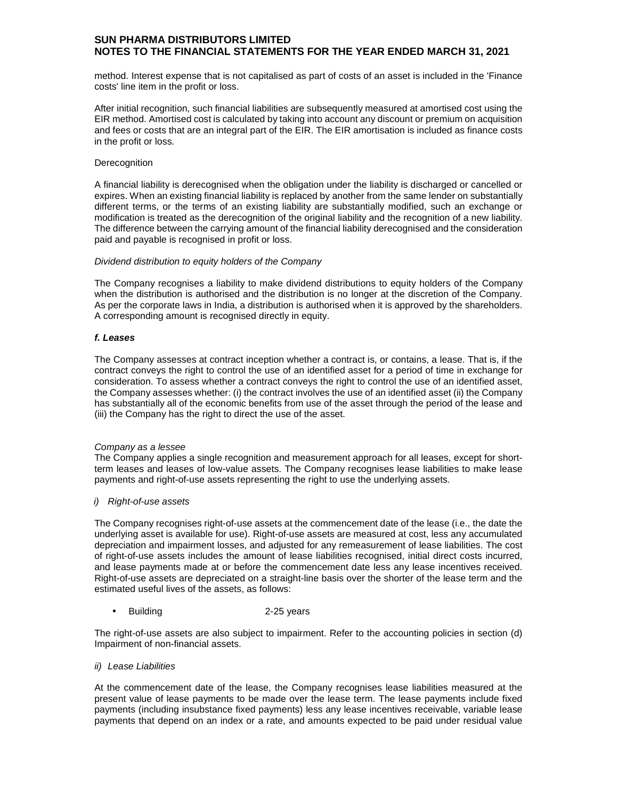method. Interest expense that is not capitalised as part of costs of an asset is included in the 'Finance costs' line item in the profit or loss.

After initial recognition, such financial liabilities are subsequently measured at amortised cost using the EIR method. Amortised cost is calculated by taking into account any discount or premium on acquisition and fees or costs that are an integral part of the EIR. The EIR amortisation is included as finance costs in the profit or loss.

## Derecognition

A financial liability is derecognised when the obligation under the liability is discharged or cancelled or expires. When an existing financial liability is replaced by another from the same lender on substantially different terms, or the terms of an existing liability are substantially modified, such an exchange or modification is treated as the derecognition of the original liability and the recognition of a new liability. The difference between the carrying amount of the financial liability derecognised and the consideration paid and payable is recognised in profit or loss.

# Dividend distribution to equity holders of the Company

The Company recognises a liability to make dividend distributions to equity holders of the Company when the distribution is authorised and the distribution is no longer at the discretion of the Company. As per the corporate laws in India, a distribution is authorised when it is approved by the shareholders. A corresponding amount is recognised directly in equity.

# **f. Leases**

The Company assesses at contract inception whether a contract is, or contains, a lease. That is, if the contract conveys the right to control the use of an identified asset for a period of time in exchange for consideration. To assess whether a contract conveys the right to control the use of an identified asset, the Company assesses whether: (i) the contract involves the use of an identified asset (ii) the Company has substantially all of the economic benefits from use of the asset through the period of the lease and (iii) the Company has the right to direct the use of the asset.

# Company as a lessee

The Company applies a single recognition and measurement approach for all leases, except for shortterm leases and leases of low-value assets. The Company recognises lease liabilities to make lease payments and right-of-use assets representing the right to use the underlying assets.

## i) Right-of-use assets

The Company recognises right-of-use assets at the commencement date of the lease (i.e., the date the underlying asset is available for use). Right-of-use assets are measured at cost, less any accumulated depreciation and impairment losses, and adjusted for any remeasurement of lease liabilities. The cost of right-of-use assets includes the amount of lease liabilities recognised, initial direct costs incurred, and lease payments made at or before the commencement date less any lease incentives received. Right-of-use assets are depreciated on a straight-line basis over the shorter of the lease term and the estimated useful lives of the assets, as follows:

## • Building 2-25 years

The right-of-use assets are also subject to impairment. Refer to the accounting policies in section (d) Impairment of non-financial assets.

## ii) Lease Liabilities

At the commencement date of the lease, the Company recognises lease liabilities measured at the present value of lease payments to be made over the lease term. The lease payments include fixed payments (including insubstance fixed payments) less any lease incentives receivable, variable lease payments that depend on an index or a rate, and amounts expected to be paid under residual value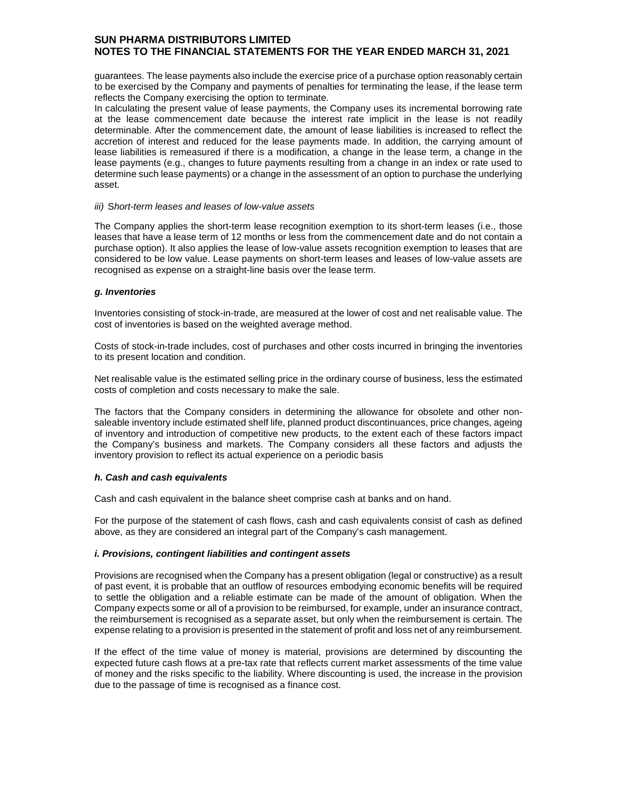guarantees. The lease payments also include the exercise price of a purchase option reasonably certain to be exercised by the Company and payments of penalties for terminating the lease, if the lease term reflects the Company exercising the option to terminate.

In calculating the present value of lease payments, the Company uses its incremental borrowing rate at the lease commencement date because the interest rate implicit in the lease is not readily determinable. After the commencement date, the amount of lease liabilities is increased to reflect the accretion of interest and reduced for the lease payments made. In addition, the carrying amount of lease liabilities is remeasured if there is a modification, a change in the lease term, a change in the lease payments (e.g., changes to future payments resulting from a change in an index or rate used to determine such lease payments) or a change in the assessment of an option to purchase the underlying asset.

## iii) Short-term leases and leases of low-value assets

The Company applies the short-term lease recognition exemption to its short-term leases (i.e., those leases that have a lease term of 12 months or less from the commencement date and do not contain a purchase option). It also applies the lease of low-value assets recognition exemption to leases that are considered to be low value. Lease payments on short-term leases and leases of low-value assets are recognised as expense on a straight-line basis over the lease term.

## **g. Inventories**

Inventories consisting of stock-in-trade, are measured at the lower of cost and net realisable value. The cost of inventories is based on the weighted average method.

Costs of stock-in-trade includes, cost of purchases and other costs incurred in bringing the inventories to its present location and condition.

Net realisable value is the estimated selling price in the ordinary course of business, less the estimated costs of completion and costs necessary to make the sale.

The factors that the Company considers in determining the allowance for obsolete and other nonsaleable inventory include estimated shelf life, planned product discontinuances, price changes, ageing of inventory and introduction of competitive new products, to the extent each of these factors impact the Company's business and markets. The Company considers all these factors and adjusts the inventory provision to reflect its actual experience on a periodic basis

## **h. Cash and cash equivalents**

Cash and cash equivalent in the balance sheet comprise cash at banks and on hand.

For the purpose of the statement of cash flows, cash and cash equivalents consist of cash as defined above, as they are considered an integral part of the Company's cash management.

### **i. Provisions, contingent liabilities and contingent assets**

Provisions are recognised when the Company has a present obligation (legal or constructive) as a result of past event, it is probable that an outflow of resources embodying economic benefits will be required to settle the obligation and a reliable estimate can be made of the amount of obligation. When the Company expects some or all of a provision to be reimbursed, for example, under an insurance contract, the reimbursement is recognised as a separate asset, but only when the reimbursement is certain. The expense relating to a provision is presented in the statement of profit and loss net of any reimbursement.

If the effect of the time value of money is material, provisions are determined by discounting the expected future cash flows at a pre-tax rate that reflects current market assessments of the time value of money and the risks specific to the liability. Where discounting is used, the increase in the provision due to the passage of time is recognised as a finance cost.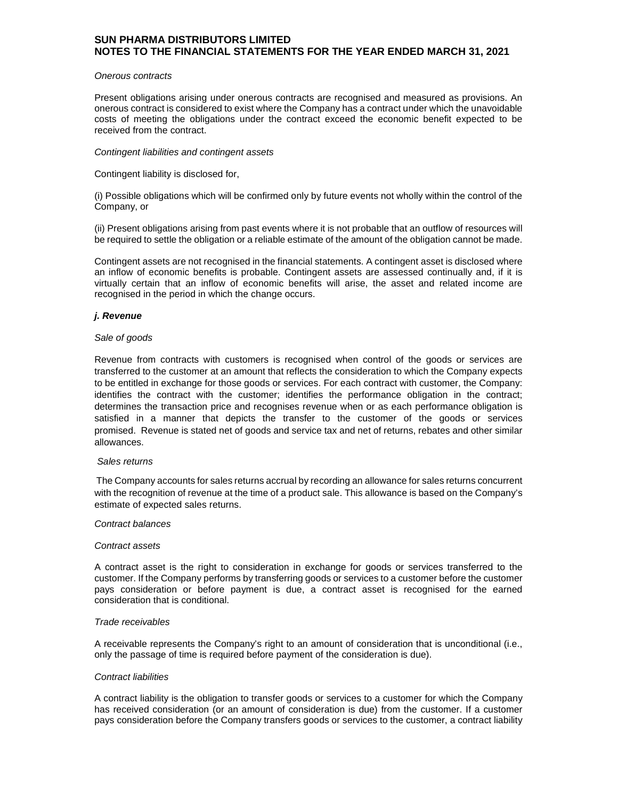### Onerous contracts

Present obligations arising under onerous contracts are recognised and measured as provisions. An onerous contract is considered to exist where the Company has a contract under which the unavoidable costs of meeting the obligations under the contract exceed the economic benefit expected to be received from the contract.

### Contingent liabilities and contingent assets

Contingent liability is disclosed for,

(i) Possible obligations which will be confirmed only by future events not wholly within the control of the Company, or

(ii) Present obligations arising from past events where it is not probable that an outflow of resources will be required to settle the obligation or a reliable estimate of the amount of the obligation cannot be made.

Contingent assets are not recognised in the financial statements. A contingent asset is disclosed where an inflow of economic benefits is probable. Contingent assets are assessed continually and, if it is virtually certain that an inflow of economic benefits will arise, the asset and related income are recognised in the period in which the change occurs.

## **j. Revenue**

## Sale of goods

Revenue from contracts with customers is recognised when control of the goods or services are transferred to the customer at an amount that reflects the consideration to which the Company expects to be entitled in exchange for those goods or services. For each contract with customer, the Company: identifies the contract with the customer; identifies the performance obligation in the contract; determines the transaction price and recognises revenue when or as each performance obligation is satisfied in a manner that depicts the transfer to the customer of the goods or services promised. Revenue is stated net of goods and service tax and net of returns, rebates and other similar allowances.

### Sales returns

 The Company accounts for sales returns accrual by recording an allowance for sales returns concurrent with the recognition of revenue at the time of a product sale. This allowance is based on the Company's estimate of expected sales returns.

### Contract balances

### Contract assets

A contract asset is the right to consideration in exchange for goods or services transferred to the customer. If the Company performs by transferring goods or services to a customer before the customer pays consideration or before payment is due, a contract asset is recognised for the earned consideration that is conditional.

# Trade receivables

A receivable represents the Company's right to an amount of consideration that is unconditional (i.e., only the passage of time is required before payment of the consideration is due).

### Contract liabilities

A contract liability is the obligation to transfer goods or services to a customer for which the Company has received consideration (or an amount of consideration is due) from the customer. If a customer pays consideration before the Company transfers goods or services to the customer, a contract liability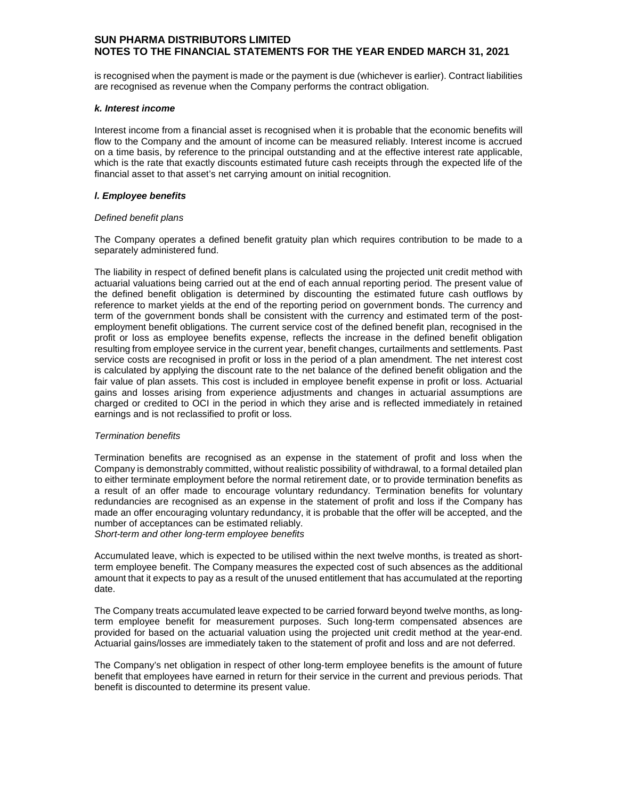is recognised when the payment is made or the payment is due (whichever is earlier). Contract liabilities are recognised as revenue when the Company performs the contract obligation.

### **k. Interest income**

Interest income from a financial asset is recognised when it is probable that the economic benefits will flow to the Company and the amount of income can be measured reliably. Interest income is accrued on a time basis, by reference to the principal outstanding and at the effective interest rate applicable, which is the rate that exactly discounts estimated future cash receipts through the expected life of the financial asset to that asset's net carrying amount on initial recognition.

### **l. Employee benefits**

### Defined benefit plans

The Company operates a defined benefit gratuity plan which requires contribution to be made to a separately administered fund.

The liability in respect of defined benefit plans is calculated using the projected unit credit method with actuarial valuations being carried out at the end of each annual reporting period. The present value of the defined benefit obligation is determined by discounting the estimated future cash outflows by reference to market yields at the end of the reporting period on government bonds. The currency and term of the government bonds shall be consistent with the currency and estimated term of the postemployment benefit obligations. The current service cost of the defined benefit plan, recognised in the profit or loss as employee benefits expense, reflects the increase in the defined benefit obligation resulting from employee service in the current year, benefit changes, curtailments and settlements. Past service costs are recognised in profit or loss in the period of a plan amendment. The net interest cost is calculated by applying the discount rate to the net balance of the defined benefit obligation and the fair value of plan assets. This cost is included in employee benefit expense in profit or loss. Actuarial gains and losses arising from experience adjustments and changes in actuarial assumptions are charged or credited to OCI in the period in which they arise and is reflected immediately in retained earnings and is not reclassified to profit or loss.

## Termination benefits

Termination benefits are recognised as an expense in the statement of profit and loss when the Company is demonstrably committed, without realistic possibility of withdrawal, to a formal detailed plan to either terminate employment before the normal retirement date, or to provide termination benefits as a result of an offer made to encourage voluntary redundancy. Termination benefits for voluntary redundancies are recognised as an expense in the statement of profit and loss if the Company has made an offer encouraging voluntary redundancy, it is probable that the offer will be accepted, and the number of acceptances can be estimated reliably.

Short-term and other long-term employee benefits

Accumulated leave, which is expected to be utilised within the next twelve months, is treated as shortterm employee benefit. The Company measures the expected cost of such absences as the additional amount that it expects to pay as a result of the unused entitlement that has accumulated at the reporting date.

The Company treats accumulated leave expected to be carried forward beyond twelve months, as longterm employee benefit for measurement purposes. Such long-term compensated absences are provided for based on the actuarial valuation using the projected unit credit method at the year-end. Actuarial gains/losses are immediately taken to the statement of profit and loss and are not deferred.

The Company's net obligation in respect of other long-term employee benefits is the amount of future benefit that employees have earned in return for their service in the current and previous periods. That benefit is discounted to determine its present value.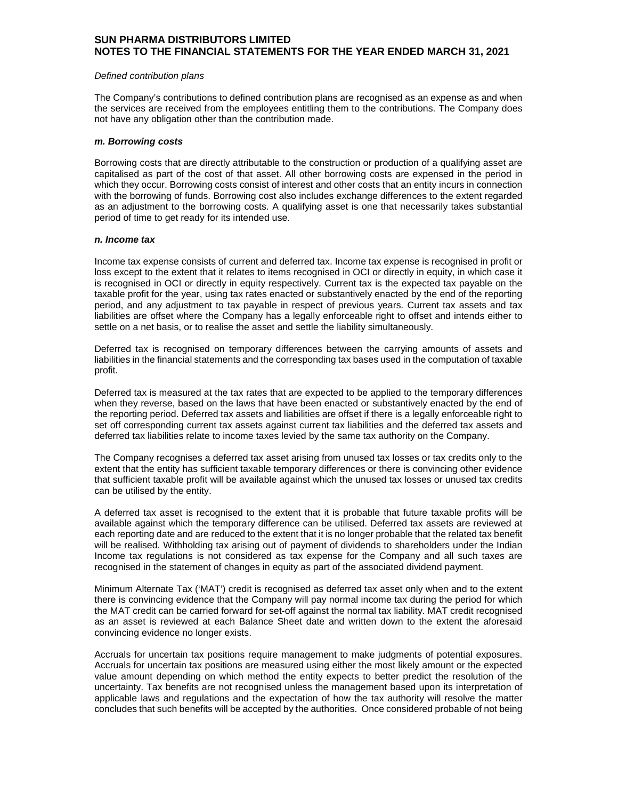### Defined contribution plans

The Company's contributions to defined contribution plans are recognised as an expense as and when the services are received from the employees entitling them to the contributions. The Company does not have any obligation other than the contribution made.

### **m. Borrowing costs**

Borrowing costs that are directly attributable to the construction or production of a qualifying asset are capitalised as part of the cost of that asset. All other borrowing costs are expensed in the period in which they occur. Borrowing costs consist of interest and other costs that an entity incurs in connection with the borrowing of funds. Borrowing cost also includes exchange differences to the extent regarded as an adjustment to the borrowing costs. A qualifying asset is one that necessarily takes substantial period of time to get ready for its intended use.

### **n. Income tax**

Income tax expense consists of current and deferred tax. Income tax expense is recognised in profit or loss except to the extent that it relates to items recognised in OCI or directly in equity, in which case it is recognised in OCI or directly in equity respectively. Current tax is the expected tax payable on the taxable profit for the year, using tax rates enacted or substantively enacted by the end of the reporting period, and any adjustment to tax payable in respect of previous years. Current tax assets and tax liabilities are offset where the Company has a legally enforceable right to offset and intends either to settle on a net basis, or to realise the asset and settle the liability simultaneously.

Deferred tax is recognised on temporary differences between the carrying amounts of assets and liabilities in the financial statements and the corresponding tax bases used in the computation of taxable profit.

Deferred tax is measured at the tax rates that are expected to be applied to the temporary differences when they reverse, based on the laws that have been enacted or substantively enacted by the end of the reporting period. Deferred tax assets and liabilities are offset if there is a legally enforceable right to set off corresponding current tax assets against current tax liabilities and the deferred tax assets and deferred tax liabilities relate to income taxes levied by the same tax authority on the Company.

The Company recognises a deferred tax asset arising from unused tax losses or tax credits only to the extent that the entity has sufficient taxable temporary differences or there is convincing other evidence that sufficient taxable profit will be available against which the unused tax losses or unused tax credits can be utilised by the entity.

A deferred tax asset is recognised to the extent that it is probable that future taxable profits will be available against which the temporary difference can be utilised. Deferred tax assets are reviewed at each reporting date and are reduced to the extent that it is no longer probable that the related tax benefit will be realised. Withholding tax arising out of payment of dividends to shareholders under the Indian Income tax regulations is not considered as tax expense for the Company and all such taxes are recognised in the statement of changes in equity as part of the associated dividend payment.

Minimum Alternate Tax ('MAT') credit is recognised as deferred tax asset only when and to the extent there is convincing evidence that the Company will pay normal income tax during the period for which the MAT credit can be carried forward for set-off against the normal tax liability. MAT credit recognised as an asset is reviewed at each Balance Sheet date and written down to the extent the aforesaid convincing evidence no longer exists.

Accruals for uncertain tax positions require management to make judgments of potential exposures. Accruals for uncertain tax positions are measured using either the most likely amount or the expected value amount depending on which method the entity expects to better predict the resolution of the uncertainty. Tax benefits are not recognised unless the management based upon its interpretation of applicable laws and regulations and the expectation of how the tax authority will resolve the matter concludes that such benefits will be accepted by the authorities. Once considered probable of not being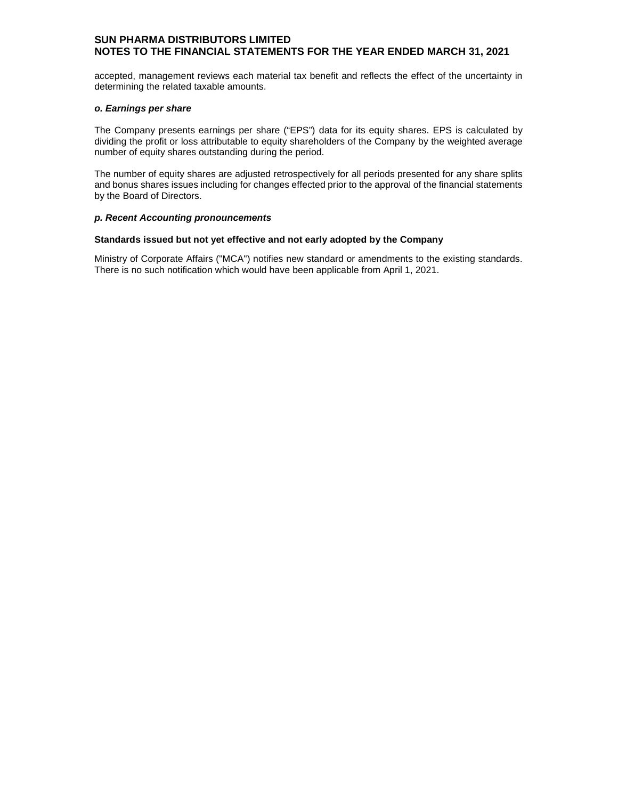accepted, management reviews each material tax benefit and reflects the effect of the uncertainty in determining the related taxable amounts.

### **o. Earnings per share**

The Company presents earnings per share ("EPS") data for its equity shares. EPS is calculated by dividing the profit or loss attributable to equity shareholders of the Company by the weighted average number of equity shares outstanding during the period.

The number of equity shares are adjusted retrospectively for all periods presented for any share splits and bonus shares issues including for changes effected prior to the approval of the financial statements by the Board of Directors.

### **p. Recent Accounting pronouncements**

## **Standards issued but not yet effective and not early adopted by the Company**

Ministry of Corporate Affairs ("MCA") notifies new standard or amendments to the existing standards. There is no such notification which would have been applicable from April 1, 2021.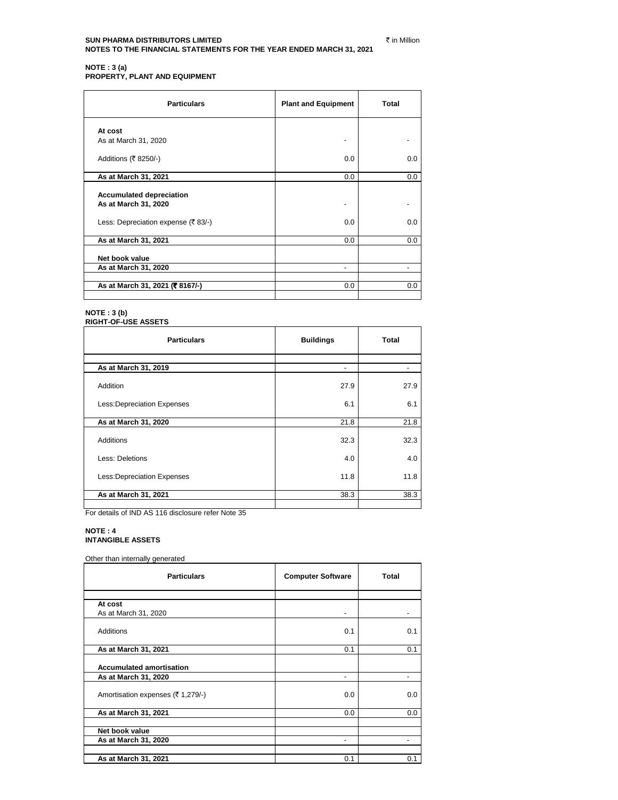### **SUN PHARMA DISTRIBUTORS LIMITED**  $\bar{\tau}$  in Million **NOTES TO THE FINANCIAL STATEMENTS FOR THE YEAR ENDED MARCH 31, 2021**

### **NOTE : 3 (a)**

**PROPERTY, PLANT AND EQUIPMENT**

| <b>Particulars</b>                                      | <b>Plant and Equipment</b> | Total |
|---------------------------------------------------------|----------------------------|-------|
| At cost<br>As at March 31, 2020                         |                            |       |
| Additions (₹8250/-)                                     | 0.0                        | 0.0   |
| As at March 31, 2021                                    | 0.0                        | 0.0   |
| <b>Accumulated depreciation</b><br>As at March 31, 2020 |                            |       |
| Less: Depreciation expense (₹83/-)                      | 0.0                        | 0.0   |
| As at March 31, 2021                                    | 0.0                        | 0.0   |
| Net book value                                          |                            |       |
| As at March 31, 2020                                    | -                          |       |
| As at March 31, 2021 (₹ 8167/-)                         | 0.0                        | 0.0   |

#### **NOTE : 3 (b) RIGHT-OF-USE ASSETS**

| <b>Particulars</b>                | <b>Buildings</b>         | Total |
|-----------------------------------|--------------------------|-------|
| As at March 31, 2019              | $\overline{\phantom{a}}$ | -     |
| Addition                          | 27.9                     | 27.9  |
| <b>Less:Depreciation Expenses</b> | 6.1                      | 6.1   |
| As at March 31, 2020              | 21.8                     | 21.8  |
| <b>Additions</b>                  | 32.3                     | 32.3  |
| Less: Deletions                   | 4.0                      | 4.0   |
| <b>Less:Depreciation Expenses</b> | 11.8                     | 11.8  |
| As at March 31, 2021              | 38.3                     | 38.3  |

For details of IND AS 116 disclosure refer Note 35

### **NOTE : 4 INTANGIBLE ASSETS**

Other than internally generated

| <b>Particulars</b>                | <b>Computer Software</b> | Total |
|-----------------------------------|--------------------------|-------|
|                                   |                          |       |
| At cost<br>As at March 31, 2020   |                          |       |
| Additions                         | 0.1                      | 0.1   |
| As at March 31, 2021              | 0.1                      | 0.1   |
| <b>Accumulated amortisation</b>   |                          |       |
| As at March 31, 2020              | -                        | -     |
| Amortisation expenses (₹ 1,279/-) | 0.0                      | 0.0   |
| As at March 31, 2021              | 0.0                      | 0.0   |
| Net book value                    |                          |       |
| As at March 31, 2020              | -                        |       |
|                                   |                          |       |
| As at March 31, 2021              | 0.1                      | 0.1   |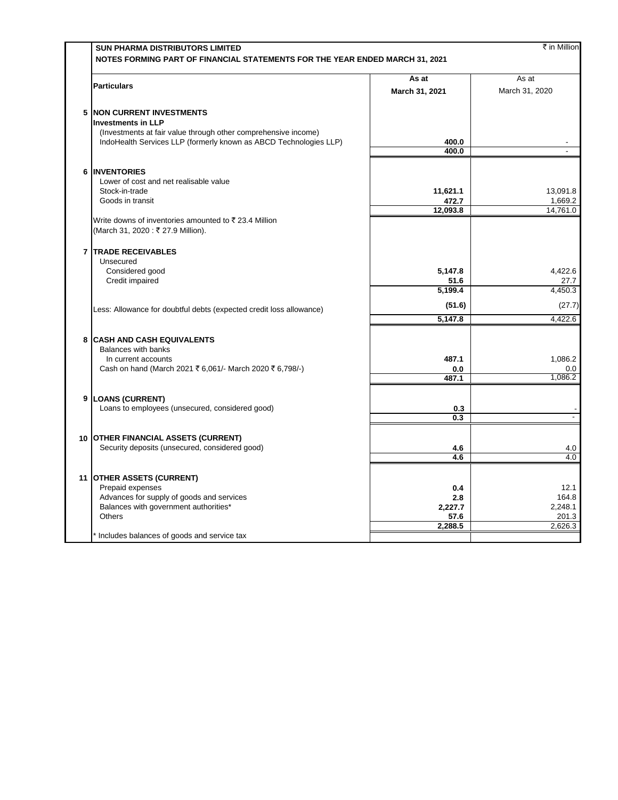| <b>SUN PHARMA DISTRIBUTORS LIMITED</b>                                                |                 | ₹ in Million             |
|---------------------------------------------------------------------------------------|-----------------|--------------------------|
| NOTES FORMING PART OF FINANCIAL STATEMENTS FOR THE YEAR ENDED MARCH 31, 2021          |                 |                          |
|                                                                                       | As at           | As at                    |
| <b>Particulars</b>                                                                    | March 31, 2021  | March 31, 2020           |
| <b>5 NON CURRENT INVESTMENTS</b>                                                      |                 |                          |
| <b>Investments in LLP</b>                                                             |                 |                          |
| (Investments at fair value through other comprehensive income)                        |                 |                          |
| IndoHealth Services LLP (formerly known as ABCD Technologies LLP)                     | 400.0           |                          |
|                                                                                       | 400.0           |                          |
| <b>6 IINVENTORIES</b>                                                                 |                 |                          |
| Lower of cost and net realisable value                                                |                 |                          |
| Stock-in-trade                                                                        | 11,621.1        | 13,091.8                 |
| Goods in transit                                                                      | 472.7           | 1,669.2                  |
|                                                                                       | 12,093.8        | 14,761.0                 |
| Write downs of inventories amounted to ₹23.4 Million                                  |                 |                          |
| (March 31, 2020 : ₹ 27.9 Million).                                                    |                 |                          |
| <b>7 TRADE RECEIVABLES</b>                                                            |                 |                          |
| Unsecured                                                                             |                 |                          |
| Considered good                                                                       | 5,147.8         | 4,422.6                  |
| Credit impaired                                                                       | 51.6            | 27.7                     |
|                                                                                       | 5,199.4         | 4,450.3                  |
| Less: Allowance for doubtful debts (expected credit loss allowance)                   | (51.6)          | (27.7)                   |
|                                                                                       | 5,147.8         | 4,422.6                  |
|                                                                                       |                 |                          |
| <b>8 CASH AND CASH EQUIVALENTS</b>                                                    |                 |                          |
| Balances with banks<br>In current accounts                                            | 487.1           | 1,086.2                  |
| Cash on hand (March 2021 ₹ 6,061/- March 2020 ₹ 6,798/-)                              | 0.0             | $0.0\,$                  |
|                                                                                       | 487.1           | 1,086.2                  |
|                                                                                       |                 |                          |
| 9  LOANS (CURRENT)<br>Loans to employees (unsecured, considered good)                 | 0.3             |                          |
|                                                                                       | 0.3             | $\overline{\phantom{a}}$ |
|                                                                                       |                 |                          |
| 10 OTHER FINANCIAL ASSETS (CURRENT)<br>Security deposits (unsecured, considered good) | 4.6             |                          |
|                                                                                       | 4.6             | 4.0<br>4.0               |
|                                                                                       |                 |                          |
| 11 OTHER ASSETS (CURRENT)                                                             |                 |                          |
| Prepaid expenses                                                                      | 0.4             | 12.1                     |
| Advances for supply of goods and services                                             | 2.8             | 164.8                    |
| Balances with government authorities*<br><b>Others</b>                                | 2,227.7         | 2,248.1                  |
|                                                                                       | 57.6<br>2,288.5 | 201.3<br>2,626.3         |
| Includes balances of goods and service tax                                            |                 |                          |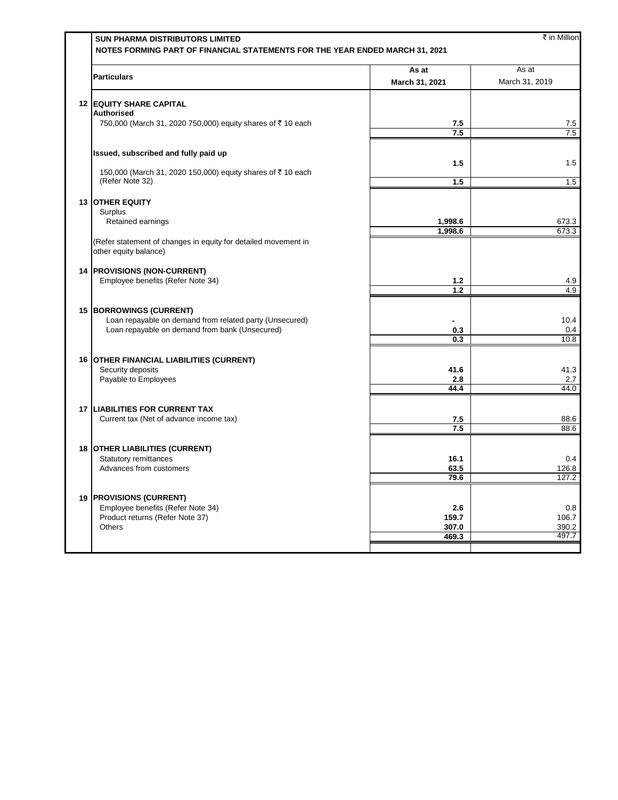| NOTES FORMING PART OF FINANCIAL STATEMENTS FOR THE YEAR ENDED MARCH 31, 2021 |                                                                                    |
|------------------------------------------------------------------------------|------------------------------------------------------------------------------------|
|                                                                              |                                                                                    |
| As at                                                                        | As at                                                                              |
| March 31, 2021                                                               | March 31, 2019                                                                     |
|                                                                              |                                                                                    |
|                                                                              |                                                                                    |
| 7.5                                                                          | 7.5                                                                                |
| 7.5                                                                          | 7.5                                                                                |
|                                                                              |                                                                                    |
|                                                                              | 1.5                                                                                |
| 1.5                                                                          | 1.5                                                                                |
|                                                                              |                                                                                    |
|                                                                              |                                                                                    |
|                                                                              | 673.3                                                                              |
| 1,998.6                                                                      | 673.3                                                                              |
|                                                                              |                                                                                    |
|                                                                              |                                                                                    |
| $1.2$                                                                        | 4.9<br>4.9                                                                         |
|                                                                              |                                                                                    |
|                                                                              |                                                                                    |
|                                                                              | 10.4                                                                               |
| 0.3                                                                          | 0.4<br>10.8                                                                        |
|                                                                              |                                                                                    |
|                                                                              |                                                                                    |
|                                                                              | 41.3                                                                               |
|                                                                              | 2.7<br>44.0                                                                        |
|                                                                              |                                                                                    |
|                                                                              |                                                                                    |
|                                                                              | 88.6<br>88.6                                                                       |
|                                                                              |                                                                                    |
|                                                                              |                                                                                    |
| 16.1                                                                         | 0.4                                                                                |
| 63.5                                                                         | 126.8                                                                              |
|                                                                              | $\overline{1}27.2$                                                                 |
|                                                                              |                                                                                    |
| 2.6                                                                          | 0.8                                                                                |
| 159.7                                                                        | 106.7                                                                              |
|                                                                              | 390.2<br>497.7                                                                     |
| 469.3                                                                        |                                                                                    |
|                                                                              | 1.5<br>1,998.6<br>1.2<br>0.3<br>41.6<br>2.8<br>44.4<br>7.5<br>7.5<br>79.6<br>307.0 |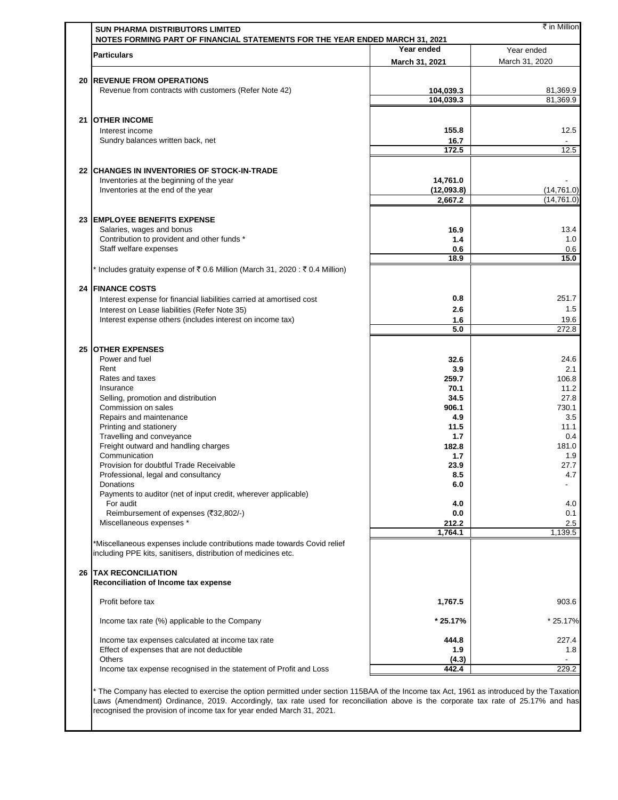|                                                                             | Year ended     | Year ended     |
|-----------------------------------------------------------------------------|----------------|----------------|
| Particulars                                                                 | March 31, 2021 | March 31, 2020 |
|                                                                             |                |                |
| <b>20 REVENUE FROM OPERATIONS</b>                                           |                |                |
| Revenue from contracts with customers (Refer Note 42)                       | 104,039.3      | 81,369.9       |
|                                                                             | 104,039.3      | 81,369.9       |
| <b>21 JOTHER INCOME</b>                                                     |                |                |
| Interest income                                                             | 155.8          | 12.5           |
| Sundry balances written back, net                                           | 16.7           |                |
|                                                                             | 172.5          | 12.5           |
| <b>22 ICHANGES IN INVENTORIES OF STOCK-IN-TRADE</b>                         |                |                |
| Inventories at the beginning of the year                                    | 14,761.0       |                |
| Inventories at the end of the year                                          | (12,093.8)     | (14, 761.0)    |
|                                                                             | 2,667.2        | (14, 761.0)    |
|                                                                             |                |                |
| 23 EMPLOYEE BENEFITS EXPENSE                                                |                |                |
| Salaries, wages and bonus                                                   | 16.9           | 13.4           |
| Contribution to provident and other funds *                                 | 1.4            | 1.0            |
| Staff welfare expenses                                                      | 0.6<br>18.9    | 0.6<br>15.0    |
| Includes gratuity expense of ₹ 0.6 Million (March 31, 2020 : ₹ 0.4 Million) |                |                |
|                                                                             |                |                |
| <b>24 FINANCE COSTS</b>                                                     |                |                |
| Interest expense for financial liabilities carried at amortised cost        | 0.8            | 251.7          |
| Interest on Lease liabilities (Refer Note 35)                               | 2.6            | 1.5            |
| Interest expense others (includes interest on income tax)                   | 1.6<br>5.0     | 19.6<br>272.8  |
|                                                                             |                |                |
| <b>25 JOTHER EXPENSES</b>                                                   |                |                |
| Power and fuel                                                              | 32.6           | 24.6           |
| Rent                                                                        | 3.9            | 2.1            |
| Rates and taxes                                                             | 259.7          | 106.8          |
| Insurance                                                                   | 70.1           | 11.2           |
| Selling, promotion and distribution                                         | 34.5           | 27.8           |
| Commission on sales                                                         | 906.1          | 730.1          |
| Repairs and maintenance                                                     | 4.9            | 3.5            |
| Printing and stationery                                                     | 11.5           | 11.1           |
| Travelling and conveyance                                                   | 1.7            | 0.4            |
| Freight outward and handling charges                                        | 182.8          | 181.0          |
| Communication                                                               | 1.7            | 1.9            |
| Provision for doubtful Trade Receivable                                     | 23.9           | 27.7<br>4.7    |
| Professional, legal and consultancy<br>Donations                            | 8.5<br>6.0     |                |
| Payments to auditor (net of input credit, wherever applicable)              |                |                |
| For audit                                                                   | 4.0            | 4.0            |
| Reimbursement of expenses (₹32,802/-)                                       | 0.0            | 0.1            |
| Miscellaneous expenses *                                                    | 212.2          | 2.5            |
| *Miscellaneous expenses include contributions made towards Covid relief     | 1,764.1        | 1,139.5        |
| including PPE kits, sanitisers, distribution of medicines etc.              |                |                |
| <b>26 TAX RECONCILIATION</b>                                                |                |                |
| Reconciliation of Income tax expense                                        |                |                |
| Profit before tax                                                           | 1,767.5        | 903.6          |
| Income tax rate (%) applicable to the Company                               | $*25.17%$      | * 25.17%       |
| Income tax expenses calculated at income tax rate                           | 444.8          | 227.4          |
| Effect of expenses that are not deductible                                  | 1.9            | 1.8            |
| Others                                                                      | (4.3)          |                |
| Income tax expense recognised in the statement of Profit and Loss           | 442.4          | 229.2          |
|                                                                             |                |                |

Laws (Amendment) Ordinance, 2019. Accordingly, tax rate used for reconciliation above is the corporate tax rate of 25.17% and has recognised the provision of income tax for year ended March 31, 2021.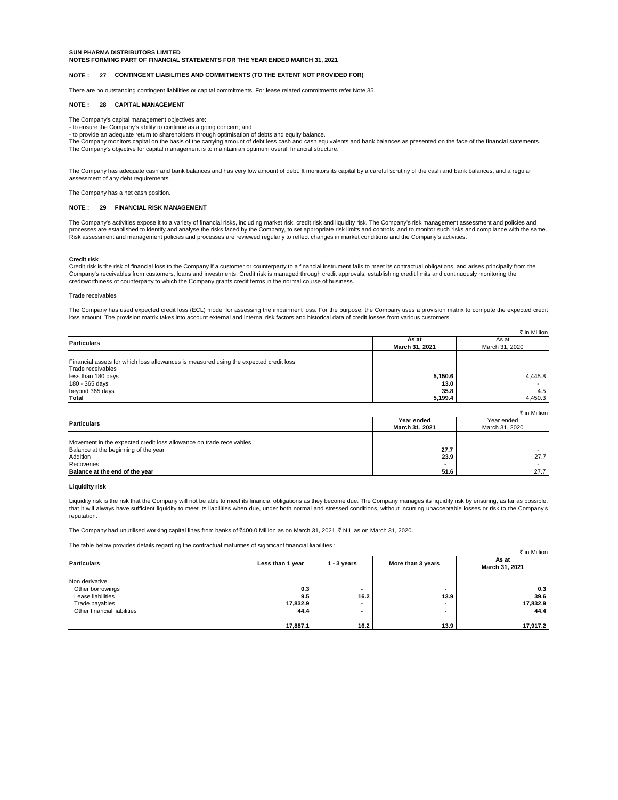# **NOTE : 27 CONTINGENT LIABILITIES AND COMMITMENTS (TO THE EXTENT NOT PROVIDED FOR)**

There are no outstanding contingent liabilities or capital commitments. For lease related commitments refer Note 35.

#### **NOTE : 28 CAPITAL MANAGEMENT**

The Company's capital management objectives are:

- to ensure the Company's ability to continue as a going concern; and

- to provide an adequate return to shareholders through optimisation of debts and equity balance.

The Company monitors capital on the basis of the carrying amount of debt less cash and cash equivalents and bank balances as presented on the face of the financial statements. The Company's objective for capital management is to maintain an optimum overall financial structure.

The Company has adequate cash and bank balances and has very low amount of debt. It monitors its capital by a careful scrutiny of the cash and bank balances, and a regular assessment of any debt requirements.

The Company has a net cash position.

#### **NOTE : 29 FINANCIAL RISK MANAGEMENT**

The Company's activities expose it to a variety of financial risks, including market risk, credit risk and liquidity risk. The Company's risk management assessment and policies and processes are established to identify and analyse the risks faced by the Company, to set appropriate risk limits and controls, and to monitor such risks and compliance with the same. Risk assessment and management policies and processes are reviewed regularly to reflect changes in market conditions and the Company's activities.

### **Credit risk**

Credit risk is the risk of financial loss to the Company if a customer or counterparty to a financial instrument fails to meet its contractual obligations, and arises principally from the Company's receivables from customers, loans and investments. Credit risk is managed through credit approvals, establishing credit limits and continuously monitoring the creditworthiness of counterparty to which the Company grants credit terms in the normal course of business.

#### Trade receivables

The Company has used expected credit loss (ECL) model for assessing the impairment loss. For the purpose, the Company uses a provision matrix to compute the expected credit loss amount. The provision matrix takes into account external and internal risk factors and historical data of credit losses from various customers.

|                                                                                       |                | ₹ in Million   |
|---------------------------------------------------------------------------------------|----------------|----------------|
| <b>Particulars</b>                                                                    | As at          | As at          |
|                                                                                       | March 31, 2021 | March 31, 2020 |
|                                                                                       |                |                |
| Financial assets for which loss allowances is measured using the expected credit loss |                |                |
| Trade receivables                                                                     |                |                |
| less than 180 days                                                                    | 5,150.6        | 4,445.8        |
| 180 - 365 days                                                                        | 13.0           |                |
| beyond 365 days                                                                       | 35.8           | 4.5            |
| <b>Total</b>                                                                          | 5,199.4        | 4,450.3        |
|                                                                                       |                |                |
|                                                                                       |                | ₹ in Million   |

| <b>Particulars</b>                                                  | Year ended<br>March 31, 2021 | Year ended<br>March 31, 2020 |
|---------------------------------------------------------------------|------------------------------|------------------------------|
|                                                                     |                              |                              |
| Movement in the expected credit loss allowance on trade receivables |                              |                              |
| Balance at the beginning of the year                                | 27.7                         |                              |
| Addition                                                            | 23.9                         | 27.7                         |
| Recoveries                                                          | $\blacksquare$               |                              |
| Balance at the end of the year                                      | 51.6                         | 27.7                         |

#### **Liquidity risk**

Liquidity risk is the risk that the Company will not be able to meet its financial obligations as they become due. The Company manages its liquidity risk by ensuring, as far as possible, that it will always have sufficient liquidity to meet its liabilities when due, under both normal and stressed conditions, without incurring unacceptable losses or risk to the Company's reputation.

The Company had unutilised working capital lines from banks of ₹400.0 Million as on March 31, 2021, ₹ NIL as on March 31, 2020.

The table below provides details regarding the contractual maturities of significant financial liabilities :

| The table below provided details regarding the contractual maturities or significant intariolal ilabilities. |                                                      |                |      |              |
|--------------------------------------------------------------------------------------------------------------|------------------------------------------------------|----------------|------|--------------|
|                                                                                                              |                                                      |                |      | ₹ in Million |
|                                                                                                              |                                                      |                |      | As at        |
| <b>Particulars</b>                                                                                           | Less than 1 year<br>More than 3 years<br>1 - 3 years | March 31, 2021 |      |              |
|                                                                                                              |                                                      |                |      |              |
| Non derivative                                                                                               |                                                      |                |      |              |
| Other borrowings                                                                                             | 0.3                                                  |                |      | 0.3          |
| Lease liabilities                                                                                            | 9.5                                                  | 16.2           | 13.9 | 39.6         |
| Trade payables                                                                                               | 17,832.9                                             |                |      | 17,832.9     |
| Other financial liabilities                                                                                  | 44.4                                                 |                |      | 44.4         |
|                                                                                                              |                                                      |                |      |              |
|                                                                                                              | 17.887.1                                             | 16.2           | 13.9 | 17.917.2     |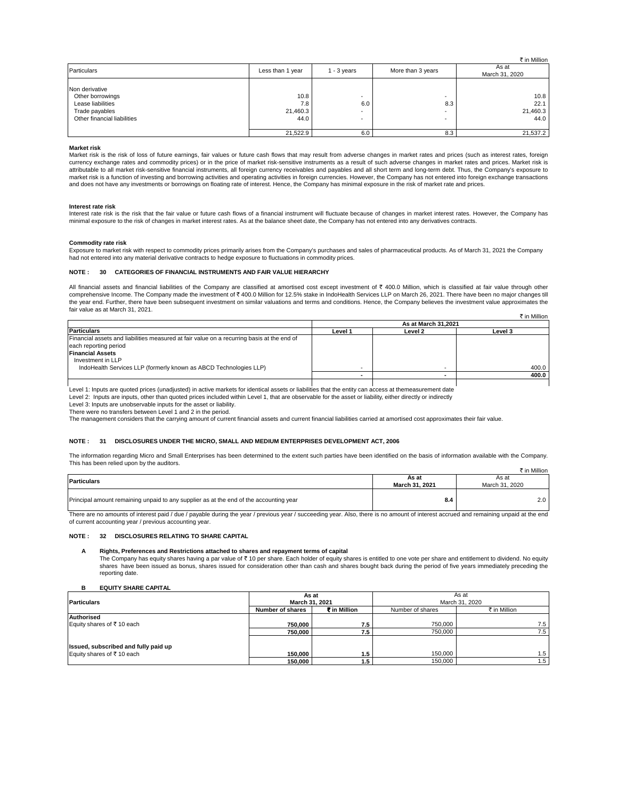|                                                                                                          |                                 |                                 |                   | K IN MIIIION                     |
|----------------------------------------------------------------------------------------------------------|---------------------------------|---------------------------------|-------------------|----------------------------------|
| Particulars                                                                                              | Less than 1 year                | 1 - 3 years                     | More than 3 years | As at<br>March 31, 2020          |
| Non derivative<br>Other borrowings<br>Lease liabilities<br>Trade payables<br>Other financial liabilities | 10.8<br>7.8<br>21,460.3<br>44.0 | $\overline{\phantom{a}}$<br>6.0 | -<br>8.3          | 10.8<br>22.1<br>21,460.3<br>44.0 |
|                                                                                                          | 21,522.9                        | 6.0                             | 8.3               | 21,537.2                         |

` in Million

**Market risk**

Market risk is the risk of loss of future earnings, fair values or future cash flows that may result from adverse changes in market rates and prices (such as interest rates, foreign currency exchange rates and commodity prices) or in the price of market risk-sensitive instruments as a result of such adverse changes in market rates and prices. Market risk is attributable to all market risk-sensitive financial instruments, all foreign currency receivables and payables and all short term and long-term debt. Thus, the Company's exposure to market risk is a function of investing and borrowing activities and operating activities in foreign currencies. However, the Company has not entered into foreign exchange transactions<br>and does not have any investments or b

#### **Interest rate risk**

Interest rate risk is the risk that the fair value or future cash flows of a financial instrument will fluctuate because of changes in market interest rates. However, the Company has minimal exposure to the risk of changes in market interest rates. As at the balance sheet date, the Company has not entered into any derivatives contracts.

#### **Commodity rate risk**

Exposure to market risk with respect to commodity prices primarily arises from the Company's purchases and sales of pharmaceutical products. As of March 31, 2021 the Company had not entered into any material derivative contracts to hedge exposure to fluctuations in commodity prices.

#### **NOTE : 30 CATEGORIES OF FINANCIAL INSTRUMENTS AND FAIR VALUE HIERARCHY**

₹ in Million All financial assets and financial liabilities of the Company are classified at amortised cost except investment of ₹ 400.0 Million, which is classified at fair value through other comprehensive Income. The Company made the investment of ₹ 400.0 Million for 12.5% stake in IndoHealth Services LLP on March 26, 2021. There have been no major changes till the year end. Further, there have been subsequent investment on similar valuations and terms and conditions. Hence, the Company believes the investment value approximates the fair value as at March 31, 2021.

|                                                                                            | As at March 31,2021 |         |         |
|--------------------------------------------------------------------------------------------|---------------------|---------|---------|
| <b>Particulars</b>                                                                         | Level 1             | Level 2 | Level 3 |
| Financial assets and liabilities measured at fair value on a recurring basis at the end of |                     |         |         |
| each reporting period                                                                      |                     |         |         |
| <b>Financial Assets</b>                                                                    |                     |         |         |
| Investment in LLP                                                                          |                     |         |         |
| IndoHealth Services LLP (formerly known as ABCD Technologies LLP)                          |                     |         | 400.0   |
|                                                                                            |                     |         | 400.0   |
|                                                                                            |                     |         |         |

Level 1: Inputs are quoted prices (unadjusted) in active markets for identical assets or liabilities that the entity can access at themeasurement date

Level 2: Inputs are inputs, other than quoted prices included within Level 1, that are observable for the asset or liability, either directly or indirectly

Level 3: Inputs are unobservable inputs for the asset or liability.

There were no transfers between Level 1 and 2 in the period.

The management considers that the carrying amount of current financial assets and current financial liabilities carried at amortised cost approximates their fair value.

#### **NOTE : 31 DISCLOSURES UNDER THE MICRO, SMALL AND MEDIUM ENTERPRISES DEVELOPMENT ACT, 2006**

` in Million The information regarding Micro and Small Enterprises has been determined to the extent such parties have been identified on the basis of information available with the Company. This has been relied upon by the auditors.

|                                                                                        |                | K IN MIIIION   |
|----------------------------------------------------------------------------------------|----------------|----------------|
| <b>Particulars</b>                                                                     | As at          | As at          |
|                                                                                        | March 31, 2021 | March 31, 2020 |
| Principal amount remaining unpaid to any supplier as at the end of the accounting year | 8.4            | 2.0            |

There are no amounts of interest paid / due / payable during the year / previous year / succeeding year. Also, there is no amount of interest accrued and remaining unpaid at the end of current accounting year / previous accounting year.

#### **NOTE : 32 DISCLOSURES RELATING TO SHARE CAPITAL**

#### **A Rights, Preferences and Restrictions attached to shares and repayment terms of capital**

The Company has equity shares having a par value of ₹10 per share. Each holder of equity shares is entitled to one vote per share and entitlement to dividend. No equity shares have been issued as bonus, shares issued for consideration other than cash and shares bought back during the period of five years immediately preceding the reporting date.

#### **B EQUITY SHARE CAPITAL**

|                                      | As at                   |              | As at            |              |  |
|--------------------------------------|-------------------------|--------------|------------------|--------------|--|
| <b>Particulars</b>                   | March 31, 2021          |              | March 31, 2020   |              |  |
|                                      | <b>Number of shares</b> | ₹ in Million | Number of shares | ₹ in Million |  |
| <b>Authorised</b>                    |                         |              |                  |              |  |
| Equity shares of $\bar{x}$ 10 each   | 750.000                 | 7.5          | 750.000          | 7.5          |  |
|                                      | 750.000                 | 7.5          | 750,000          | 7.5          |  |
| Issued, subscribed and fully paid up |                         |              |                  |              |  |
| Equity shares of ₹10 each            | 150.000                 | 1.5          | 150,000          | 1.5 I        |  |
|                                      | 150.000                 | 1.5          | 150,000          | 1.5          |  |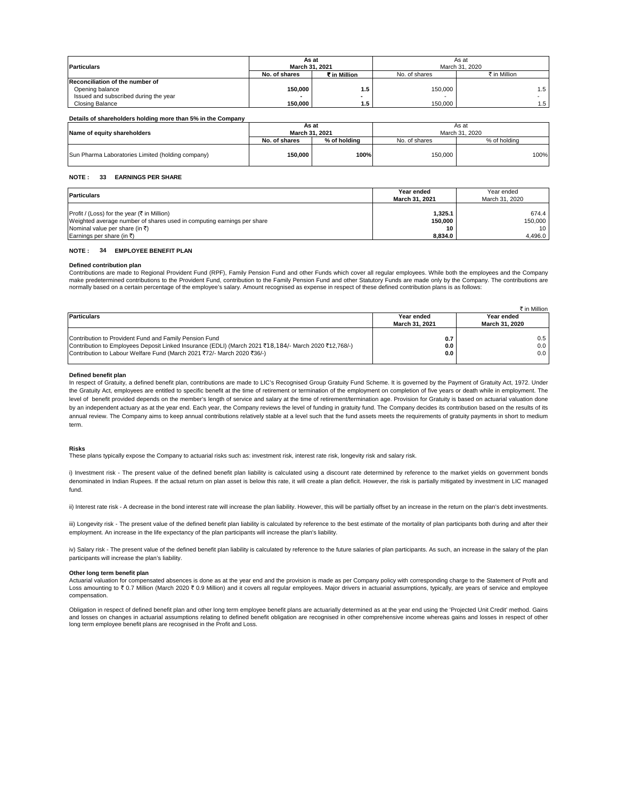|                                       | As at          |                                  | As at          |              |
|---------------------------------------|----------------|----------------------------------|----------------|--------------|
| <b>Particulars</b>                    | March 31, 2021 |                                  | March 31, 2020 |              |
|                                       | No. of shares  | $\bar{\bm{\epsilon}}$ in Million | No. of shares  | ₹ in Million |
| Reconciliation of the number of       |                |                                  |                |              |
| Opening balance                       | 150.000        | 1.5                              | 150,000        | 1.5          |
| Issued and subscribed during the year | -              |                                  |                |              |
| Closing Balance                       | 150.000        | 1.5                              | 150.000        | 1.5          |

**Details of shareholders holding more than 5% in the Company**

|                                                   | As at          |              | As at          |              |
|---------------------------------------------------|----------------|--------------|----------------|--------------|
| Name of equity shareholders                       | March 31, 2021 |              | March 31, 2020 |              |
|                                                   | No. of shares  | % of holding | No. of shares  | % of holding |
| Sun Pharma Laboratories Limited (holding company) | 150.000        | 100%         | 150.000        | 100%         |

#### **NOTE : 33 EARNINGS PER SHARE**

| <b>Particulars</b>                                                     | Year ended<br>March 31, 2021 | Year ended<br>March 31, 2020 |
|------------------------------------------------------------------------|------------------------------|------------------------------|
| Profit / (Loss) for the year ( $\bar{\tau}$ in Million)                | 1.325.1                      | 674.4                        |
| Weighted average number of shares used in computing earnings per share | 150.000                      | 150.000                      |
| Nominal value per share (in $\bar{z}$ )                                | 10                           | 10                           |
| Earnings per share (in ₹)                                              | 8.834.0                      | 4.496.0                      |

#### **NOTE : 34 EMPLOYEE BENEFIT PLAN**

#### **Defined contribution plan**

Contributions are made to Regional Provident Fund (RPF), Family Pension Fund and other Funds which cover all regular employees. While both the employees and the Company make predetermined contributions to the Provident Fund, contribution to the Family Pension Fund and other Statutory Funds are made only by the Company. The contributions are normally based on a certain percentage of the employee's salary. Amount recognised as expense in respect of these defined contribution plans is as follows:

| ₹ in Million                                                                                                                                                                     |                              |                              |  |
|----------------------------------------------------------------------------------------------------------------------------------------------------------------------------------|------------------------------|------------------------------|--|
| <b>Particulars</b>                                                                                                                                                               | Year ended<br>March 31, 2021 | Year ended<br>March 31, 2020 |  |
| Contribution to Provident Fund and Family Pension Fund                                                                                                                           | 0.7                          | 0.5                          |  |
| Contribution to Employees Deposit Linked Insurance (EDLI) (March 2021 ₹18,184/- March 2020 ₹12,768/-)<br>Contribution to Labour Welfare Fund (March 2021 ₹72/- March 2020 ₹36/-) | 0.0<br>0.0                   | 0.0<br>0.0                   |  |

#### **Defined benefit plan**

In respect of Gratuity, a defined benefit plan, contributions are made to LIC's Recognised Group Gratuity Fund Scheme. It is governed by the Payment of Gratuity Act, 1972. Under the Gratuity Act, employees are entitled to specific benefit at the time of retirement or termination of the employment on completion of five years or death while in employment. The level of benefit provided depends on the member's length of service and salary at the time of retirement/termination age. Provision for Gratuity is based on actuarial valuation done by an independent actuary as at the year end. Each year, the Company reviews the level of funding in gratuity fund. The Company decides its contribution based on the results of its annual review. The Company aims to keep annual contributions relatively stable at a level such that the fund assets meets the requirements of gratuity payments in short to medium term.

#### **Risks**

These plans typically expose the Company to actuarial risks such as: investment risk, interest rate risk, longevity risk and salary risk.

i) Investment risk - The present value of the defined benefit plan liability is calculated using a discount rate determined by reference to the market yields on government bonds denominated in Indian Rupees. If the actual return on plan asset is below this rate, it will create a plan deficit. However, the risk is partially mitigated by investment in LIC managed fund.

ii) Interest rate risk - A decrease in the bond interest rate will increase the plan liability. However, this will be partially offset by an increase in the return on the plan's debt investments.

iii) Longevity risk - The present value of the defined benefit plan liability is calculated by reference to the best estimate of the mortality of plan participants both during and after their employment. An increase in the life expectancy of the plan participants will increase the plan's liability.

iv) Salary risk - The present value of the defined benefit plan liability is calculated by reference to the future salaries of plan participants. As such, an increase in the salary of the plan participants will increase the plan's liability.

#### **Other long term benefit plan**

Actuarial valuation for compensated absences is done as at the year end and the provision is made as per Company policy with corresponding charge to the Statement of Profit and Loss amounting to ₹ 0.7 Million (March 2020 ₹ 0.9 Million) and it covers all regular employees. Major drivers in actuarial assumptions, typically, are years of service and employee compensation.

Obligation in respect of defined benefit plan and other long term employee benefit plans are actuarially determined as at the year end using the 'Projected Unit Credit' method. Gains and losses on changes in actuarial assumptions relating to defined benefit obligation are recognised in other comprehensive income whereas gains and losses in respect of other long term employee benefit plans are recognised in the Profit and Loss.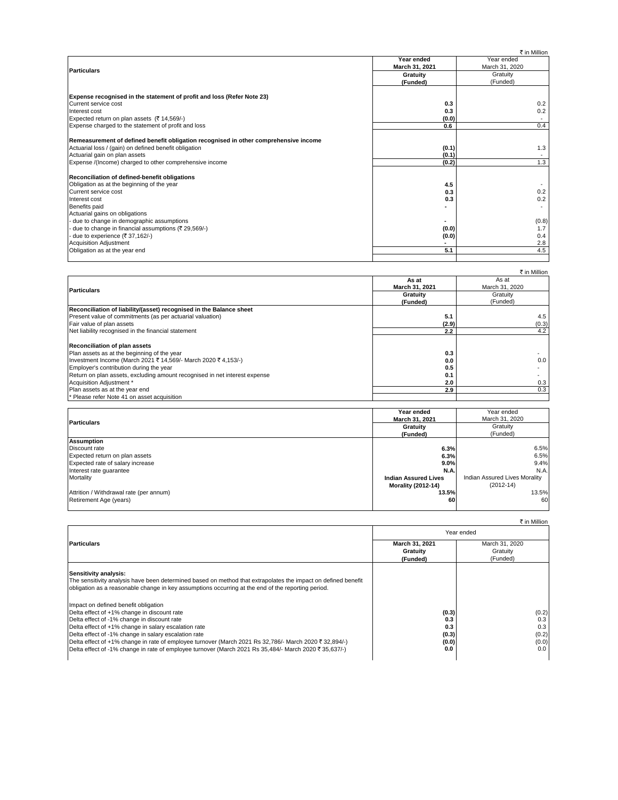|                                                                                      |                | ₹ in Million   |
|--------------------------------------------------------------------------------------|----------------|----------------|
|                                                                                      | Year ended     | Year ended     |
| <b>Particulars</b>                                                                   | March 31, 2021 | March 31, 2020 |
|                                                                                      | Gratuity       | Gratuity       |
|                                                                                      | (Funded)       | (Funded)       |
| Expense recognised in the statement of profit and loss (Refer Note 23)               |                |                |
| Current service cost                                                                 | 0.3            | 0.2            |
| Interest cost                                                                        | 0.3            | 0.2            |
|                                                                                      | (0.0)          |                |
| Expected return on plan assets (₹ 14,569/-)                                          | 0.6            | 0.4            |
| Expense charged to the statement of profit and loss                                  |                |                |
| Remeasurement of defined benefit obligation recognised in other comprehensive income |                |                |
| Actuarial loss / (gain) on defined benefit obligation                                | (0.1)          | 1.3            |
| Actuarial gain on plan assets                                                        | (0.1)          |                |
| Expense /(Income) charged to other comprehensive income                              | (0.2)          | 1.3            |
|                                                                                      |                |                |
| Reconciliation of defined-benefit obligations                                        |                |                |
| Obligation as at the beginning of the year                                           | 4.5            |                |
| Current service cost                                                                 | 0.3            | 0.2            |
| Interest cost                                                                        | 0.3            | 0.2            |
| Benefits paid                                                                        |                |                |
| Actuarial gains on obligations                                                       |                |                |
| - due to change in demographic assumptions                                           |                | (0.8)          |
| due to change in financial assumptions (₹ 29,569/-)                                  | (0.0)          | 1.7            |
| due to experience (₹ 37,162/-)                                                       | (0.0)          | 0.4            |
| <b>Acquisition Adjustment</b>                                                        |                | 2.8            |
| Obligation as at the year end                                                        | 5.1            | 4.5            |
|                                                                                      |                |                |

|                                                                            |                | ₹ in Million   |
|----------------------------------------------------------------------------|----------------|----------------|
|                                                                            | As at          | As at          |
| <b>Particulars</b>                                                         | March 31, 2021 | March 31, 2020 |
|                                                                            | Gratuity       | Gratuity       |
|                                                                            | (Funded)       | (Funded)       |
| Reconciliation of liability/(asset) recognised in the Balance sheet        |                |                |
| Present value of commitments (as per actuarial valuation)                  | 5.1            | 4.5            |
| Fair value of plan assets                                                  | (2.9)          | (0.3)          |
| Net liability recognised in the financial statement                        | 2.2            | 4.2            |
| Reconciliation of plan assets                                              |                |                |
| Plan assets as at the beginning of the year                                | 0.3            |                |
| Investment Income (March 2021 ₹ 14,569/- March 2020 ₹ 4,153/-)             | 0.0            | 0.0            |
| Employer's contribution during the year                                    | 0.5            |                |
| Return on plan assets, excluding amount recognised in net interest expense | 0.1            |                |
| Acquisition Adjustment *                                                   | 2.0            | 0.3            |
| Plan assets as at the year end                                             | 2.9            | 0.3            |
| Please refer Note 41 on asset acquisition                                  |                |                |

|                                         | Year ended                  | Year ended                    |
|-----------------------------------------|-----------------------------|-------------------------------|
| <b>Particulars</b>                      | March 31, 2021              | March 31, 2020                |
|                                         | Gratuity                    | Gratuity                      |
|                                         | (Funded)                    | (Funded)                      |
| <b>Assumption</b>                       |                             |                               |
| Discount rate                           | 6.3%                        | 6.5%                          |
| Expected return on plan assets          | 6.3%                        | 6.5%                          |
| Expected rate of salary increase        | 9.0%                        | 9.4%                          |
| Interest rate quarantee                 | <b>N.A.</b>                 | N.A.                          |
| Mortality                               | <b>Indian Assured Lives</b> | Indian Assured Lives Morality |
|                                         | <b>Morality (2012-14)</b>   | $(2012-14)$                   |
| Attrition / Withdrawal rate (per annum) | 13.5%                       | 13.5%                         |
| Retirement Age (years)                  | 60                          | 60                            |
|                                         |                             |                               |

|                                                                                                                                                                                                                                              | Year ended                             |                                        |
|----------------------------------------------------------------------------------------------------------------------------------------------------------------------------------------------------------------------------------------------|----------------------------------------|----------------------------------------|
| <b>Particulars</b>                                                                                                                                                                                                                           | March 31, 2021<br>Gratuity<br>(Funded) | March 31, 2020<br>Gratuity<br>(Funded) |
| Sensitivity analysis:<br>The sensitivity analysis have been determined based on method that extrapolates the impact on defined benefit<br>obligation as a reasonable change in key assumptions occurring at the end of the reporting period. |                                        |                                        |
| Impact on defined benefit obligation<br>Delta effect of +1% change in discount rate<br>Delta effect of -1% change in discount rate                                                                                                           | (0.3)<br>0.3                           | (0.2)<br>0.3                           |
| Delta effect of +1% change in salary escalation rate<br>Delta effect of -1% change in salary escalation rate                                                                                                                                 | 0.3<br>(0.3)                           | 0.3<br>(0.2)                           |
| Delta effect of +1% change in rate of employee turnover (March 2021 Rs 32,786/- March 2020 ₹ 32,894/-)<br>Delta effect of -1% change in rate of employee turnover (March 2021 Rs 35,484/- March 2020 ₹ 35,637/-)                             | (0.0)<br>0.0                           | (0.0)<br>0.0                           |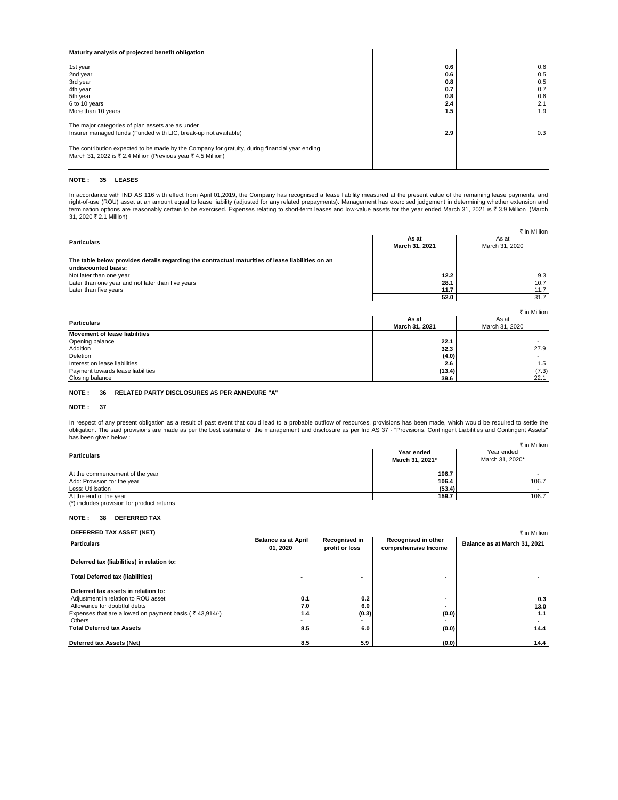| Maturity analysis of projected benefit obligation                                                                                                               |                          |                          |
|-----------------------------------------------------------------------------------------------------------------------------------------------------------------|--------------------------|--------------------------|
| 1st year<br>2nd year<br>3rd year                                                                                                                                | 0.6<br>0.6<br>0.8        | 0.6<br>0.5<br>0.5        |
| 4th year<br>5th year<br>6 to 10 years<br>More than 10 years                                                                                                     | 0.7<br>0.8<br>2.4<br>1.5 | 0.7<br>0.6<br>2.1<br>1.9 |
| The major categories of plan assets are as under<br>Insurer managed funds (Funded with LIC, break-up not available)                                             | 2.9                      | 0.3                      |
| The contribution expected to be made by the Company for gratuity, during financial year ending<br>March 31, 2022 is ₹ 2.4 Million (Previous year ₹ 4.5 Million) |                          |                          |

#### **NOTE : 35 LEASES**

In accordance with IND AS 116 with effect from April 01,2019, the Company has recognised a lease liability measured at the present value of the remaining lease payments, and right-of-use (ROU) asset at an amount equal to lease liability (adjusted for any related prepayments). Management has exercised judgement in determining whether extension and<br>termination options are reasonably certain to 31, 2020 ₹ 2.1 Million)

|                                                                                                                         |                | ₹ in Million   |
|-------------------------------------------------------------------------------------------------------------------------|----------------|----------------|
| <b>Particulars</b>                                                                                                      | As at          | As at          |
|                                                                                                                         | March 31, 2021 | March 31, 2020 |
| The table below provides details regarding the contractual maturities of lease liabilities on an<br>undiscounted basis: |                |                |
| Not later than one year                                                                                                 | 12.2           | 9.3            |
| Later than one year and not later than five years                                                                       | 28.1           | 10.7           |
| Later than five years                                                                                                   | 11.7           | 11.7           |
|                                                                                                                         | 52.0           | 31.7           |

|                                   |                | ₹ in Million   |
|-----------------------------------|----------------|----------------|
| <b>Particulars</b>                | As at          | As at          |
|                                   | March 31, 2021 | March 31, 2020 |
| Movement of lease liabilities     |                |                |
| Opening balance                   | 22.1           |                |
| Addition                          | 32.3           | 27.9           |
| Deletion                          | (4.0)          |                |
| Interest on lease liabilities     | 2.6            | 1.5            |
| Payment towards lease liabilities | (13.4)         | (7.3)          |
| Closing balance                   | 39.6           | 22.1           |

#### **NOTE : 36 RELATED PARTY DISCLOSURES AS PER ANNEXURE "A"**

#### **NOTE : 37**

 $\bar{\tau}$  in Million In respect of any present obligation as a result of past event that could lead to a probable outflow of resources, provisions has been made, which would be required to settle the<br>obligation. The said provisions are made as has been given below :

|                                 |                 | s in iviliilon  |
|---------------------------------|-----------------|-----------------|
| <b>Particulars</b>              | Year ended      | Year ended      |
|                                 | March 31, 2021* | March 31, 2020* |
|                                 |                 |                 |
| At the commencement of the year | 106.7           |                 |
| Add: Provision for the year     | 106.4           | 106.7           |
| Less: Utilisation               | (53.4)          |                 |
| At the end of the year          | 159.7           | 106.7           |

(\*) includes provision for product returns

#### **NOTE : 38 DEFERRED TAX**

#### **DEFERRED TAX ASSET (NET)** ` in Million

| <b>Particulars</b>                                                  | <b>Balance as at April</b><br>01.2020 | Recognised in<br>profit or loss | Recognised in other<br>comprehensive Income | Balance as at March 31, 2021 |
|---------------------------------------------------------------------|---------------------------------------|---------------------------------|---------------------------------------------|------------------------------|
| Deferred tax (liabilities) in relation to:                          |                                       |                                 |                                             |                              |
| <b>Total Deferred tax (liabilities)</b>                             |                                       |                                 |                                             |                              |
| Deferred tax assets in relation to:                                 |                                       |                                 |                                             |                              |
| Adjustment in relation to ROU asset                                 | 0.1                                   | 0.2                             |                                             | 0.3 <sub>1</sub>             |
| Allowance for doubtful debts                                        | 7.0                                   | 6.0                             |                                             | 13.0                         |
| Expenses that are allowed on payment basis ( $\bar{\tau}$ 43,914/-) | 1.4                                   | (0.3)                           | (0.0)                                       | 1.1                          |
| Others                                                              |                                       |                                 |                                             |                              |
| <b>Total Deferred tax Assets</b>                                    | 8.5                                   | 6.0                             | (0.0)                                       | 14.4                         |
| Deferred tax Assets (Net)                                           | 8.5                                   | 5.9                             | (0.0)                                       | 14.4                         |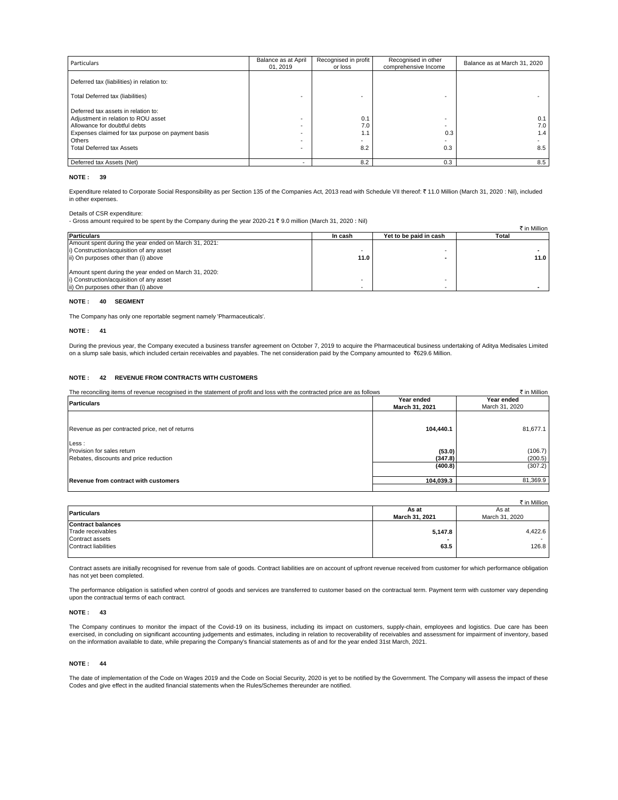| Particulars                                                                                                                                                                                                   | Balance as at April<br>01.2019 | Recognised in profit<br>or loss | Recognised in other<br>comprehensive Income | Balance as at March 31, 2020 |
|---------------------------------------------------------------------------------------------------------------------------------------------------------------------------------------------------------------|--------------------------------|---------------------------------|---------------------------------------------|------------------------------|
| Deferred tax (liabilities) in relation to:                                                                                                                                                                    |                                |                                 |                                             |                              |
| Total Deferred tax (liabilities)                                                                                                                                                                              |                                |                                 |                                             |                              |
| Deferred tax assets in relation to:<br>Adjustment in relation to ROU asset<br>Allowance for doubtful debts<br>Expenses claimed for tax purpose on payment basis<br>Others<br><b>Total Deferred tax Assets</b> |                                | 0.1<br>7.0<br>1.1<br>8.2        | 0.3<br>0.3                                  | 0.1<br>7.0<br>1.4<br>8.5     |
| Deferred tax Assets (Net)                                                                                                                                                                                     |                                | 8.2                             | 0.3                                         | 8.5                          |

#### **NOTE : 39**

Expenditure related to Corporate Social Responsibility as per Section 135 of the Companies Act, 2013 read with Schedule VII thereof: ₹ 11.0 Million (March 31, 2020 : Nil), included in other expenses.

#### Details of CSR expenditure:

- Gross amount required to be spent by the Company during the year 2020-21 ₹ 9.0 million (March 31, 2020 : Nil)

|                                                       |         |                        | ≺ in Million. |
|-------------------------------------------------------|---------|------------------------|---------------|
| <b>Particulars</b>                                    | In cash | Yet to be paid in cash | Total         |
| Amount spent during the year ended on March 31, 2021: |         |                        |               |
| i) Construction/acquisition of any asset              |         |                        |               |
| ii) On purposes other than (i) above                  | 11.0    |                        | 11.0          |
| Amount spent during the year ended on March 31, 2020: |         |                        |               |
| i) Construction/acquisition of any asset              |         |                        |               |
| ii) On purposes other than (i) above                  |         |                        |               |

 $\sim$   $\sim$   $\sim$   $\sim$   $\sim$ 

#### **NOTE : 40 SEGMENT**

The Company has only one reportable segment namely 'Pharmaceuticals'.

#### **NOTE : 41**

During the previous year, the Company executed a business transfer agreement on October 7, 2019 to acquire the Pharmaceutical business undertaking of Aditya Medisales Limited on a slump sale basis, which included certain receivables and payables. The net consideration paid by the Company amounted to ₹629.6 Million.

#### **NOTE : 42 REVENUE FROM CONTRACTS WITH CUSTOMERS**

| The reconciling items of revenue recognised in the statement of profit and loss with the contracted price are as follows |                              | ₹ in Million                 |
|--------------------------------------------------------------------------------------------------------------------------|------------------------------|------------------------------|
| <b>Particulars</b>                                                                                                       | Year ended<br>March 31, 2021 | Year ended<br>March 31, 2020 |
| Revenue as per contracted price, net of returns<br>Less :                                                                | 104,440.1                    | 81.677.1                     |
| Provision for sales return                                                                                               | (53.0)                       | (106.7)                      |
| Rebates, discounts and price reduction                                                                                   | (347.8)                      | (200.5)                      |
|                                                                                                                          | (400.8)                      | (307.2)                      |
| <b>Revenue from contract with customers</b>                                                                              | 104,039.3                    | 81,369.9                     |

|                             |                | ₹ in Million   |
|-----------------------------|----------------|----------------|
| <b>Particulars</b>          | As at          | As at          |
|                             | March 31, 2021 | March 31, 2020 |
| <b>Contract balances</b>    |                |                |
| Trade receivables           | 5,147.8        | 4.422.6        |
| Contract assets             |                | $\sim$         |
| <b>Contract liabilities</b> | 63.5           | 126.8          |
|                             |                |                |

Contract assets are initially recognised for revenue from sale of goods. Contract liabilities are on account of upfront revenue received from customer for which performance obligation has not yet been completed.

The performance obligation is satisfied when control of goods and services are transferred to customer based on the contractual term. Payment term with customer vary depending upon the contractual terms of each contract.

#### **NOTE : 43**

The Company continues to monitor the impact of the Covid-19 on its business, including its impact on customers, supply-chain, employees and logistics. Due care has been exercised, in concluding on significant accounting judgements and estimates, including in relation to recoverability of receivables and assessment for impairment of inventory, based on the information available to date, while preparing the Company's financial statements as of and for the year ended 31st March, 2021.

#### **NOTE : 44**

The date of implementation of the Code on Wages 2019 and the Code on Social Security, 2020 is yet to be notified by the Government. The Company will assess the impact of these Codes and give effect in the audited financial statements when the Rules/Schemes thereunder are notified.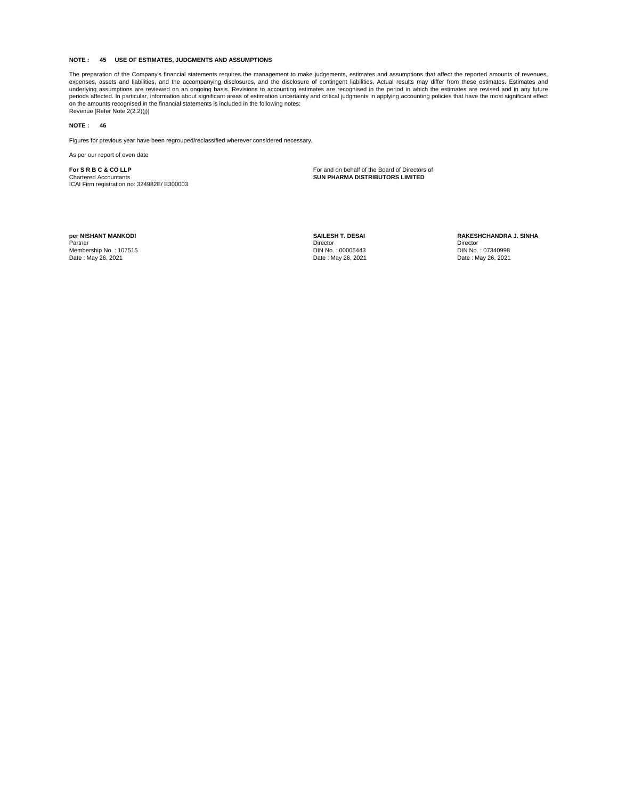#### **NOTE : 45 USE OF ESTIMATES, JUDGMENTS AND ASSUMPTIONS**

The preparation of the Company's financial statements requires the management to make judgements, estimates and assumptions that affect the reported amounts of revenues, expenses, assets and liabilities, and the accompanying disclosures, and the disclosure of contingent liabilities. Actual results may differ from these estimates. Estimates and<br>underlying assumptions are reviewed on an ongo on the amounts recognised in the financial statements is included in the following notes: Revenue [Refer Note 2(2.2)(j)]

**NOTE : 46**

Figures for previous year have been regrouped/reclassified wherever considered necessary.

As per our report of even date

Chartered Accountants **SUN PHARMA DISTRIBUTORS LIMITED** ICAI Firm registration no: 324982E/ E300003

**For S R B C & CO LLP**<br> **For and on behalf of the Board of Directors of Chartered Accountants**<br> **SUN PHARMA DISTRIBUTORS LIMITED** 

Membership No. : 107515 Date : May 26, 2021 Date : May 26, 2021 Date : May 26, 2021

Director<br>DIN No. : 00005443

**per NISHANT MANKODI per NISHANT MANKODI SAILESH T. DESAI RAKESHCHANDRA J. SINHA**<br>
Partner **Director Director Director Director Director Director Director Director Director Director Director Dir**